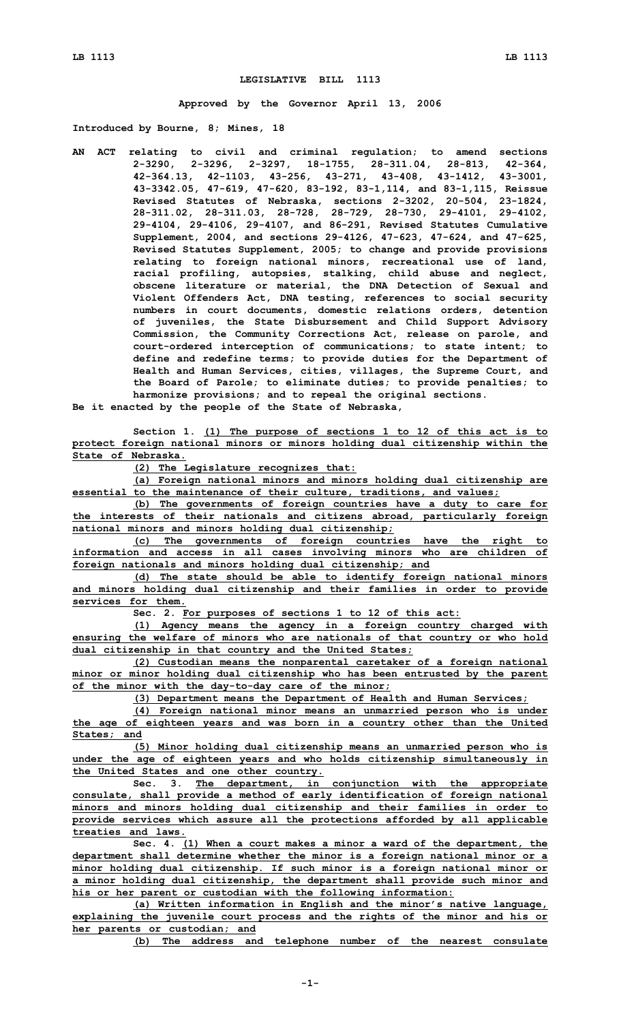## **LEGISLATIVE BILL 1113**

**Approved by the Governor April 13, 2006**

**Introduced by Bourne, 8; Mines, 18**

**AN ACT relating to civil and criminal regulation; to amend sections 2-3290, 2-3296, 2-3297, 18-1755, 28-311.04, 28-813, 42-364, 42-364.13, 42-1103, 43-256, 43-271, 43-408, 43-1412, 43-3001, 43-3342.05, 47-619, 47-620, 83-192, 83-1,114, and 83-1,115, Reissue Revised Statutes of Nebraska, sections 2-3202, 20-504, 23-1824, 28-311.02, 28-311.03, 28-728, 28-729, 28-730, 29-4101, 29-4102, 29-4104, 29-4106, 29-4107, and 86-291, Revised Statutes Cumulative Supplement, 2004, and sections 29-4126, 47-623, 47-624, and 47-625, Revised Statutes Supplement, 2005; to change and provide provisions relating to foreign national minors, recreational use of land, racial profiling, autopsies, stalking, child abuse and neglect, obscene literature or material, the DNA Detection of Sexual and Violent Offenders Act, DNA testing, references to social security numbers in court documents, domestic relations orders, detention of juveniles, the State Disbursement and Child Support Advisory Commission, the Community Corrections Act, release on parole, and court-ordered interception of communications; to state intent; to define and redefine terms; to provide duties for the Department of Health and Human Services, cities, villages, the Supreme Court, and the Board of Parole; to eliminate duties; to provide penalties; to harmonize provisions; and to repeal the original sections. Be it enacted by the people of the State of Nebraska,**

**Section 1. (1) The purpose of sections 1 to 12 of this act is to protect foreign national minors or minors holding dual citizenship within the State of Nebraska.**

**(2) The Legislature recognizes that:**

**(a) Foreign national minors and minors holding dual citizenship are essential to the maintenance of their culture, traditions, and values;**

**(b) The governments of foreign countries have <sup>a</sup> duty to care for the interests of their nationals and citizens abroad, particularly foreign national minors and minors holding dual citizenship;**

**(c) The governments of foreign countries have the right to information and access in all cases involving minors who are children of foreign nationals and minors holding dual citizenship; and**

**(d) The state should be able to identify foreign national minors and minors holding dual citizenship and their families in order to provide services for them.**

**Sec. 2. For purposes of sections 1 to 12 of this act:**

**(1) Agency means the agency in <sup>a</sup> foreign country charged with ensuring the welfare of minors who are nationals of that country or who hold dual citizenship in that country and the United States;**

**(2) Custodian means the nonparental caretaker of <sup>a</sup> foreign national minor or minor holding dual citizenship who has been entrusted by the parent of the minor with the day-to-day care of the minor;**

**(3) Department means the Department of Health and Human Services;**

**(4) Foreign national minor means an unmarried person who is under the age of eighteen years and was born in <sup>a</sup> country other than the United States; and**

**(5) Minor holding dual citizenship means an unmarried person who is under the age of eighteen years and who holds citizenship simultaneously in the United States and one other country.**

**Sec. 3. The department, in conjunction with the appropriate consulate, shall provide <sup>a</sup> method of early identification of foreign national minors and minors holding dual citizenship and their families in order to provide services which assure all the protections afforded by all applicable treaties and laws.**

**Sec. 4. (1) When <sup>a</sup> court makes <sup>a</sup> minor <sup>a</sup> ward of the department, the department shall determine whether the minor is <sup>a</sup> foreign national minor or <sup>a</sup> minor holding dual citizenship. If such minor is <sup>a</sup> foreign national minor or <sup>a</sup> minor holding dual citizenship, the department shall provide such minor and his or her parent or custodian with the following information:**

**(a) Written information in English and the minor's native language, explaining the juvenile court process and the rights of the minor and his or her parents or custodian; and**

**(b) The address and telephone number of the nearest consulate**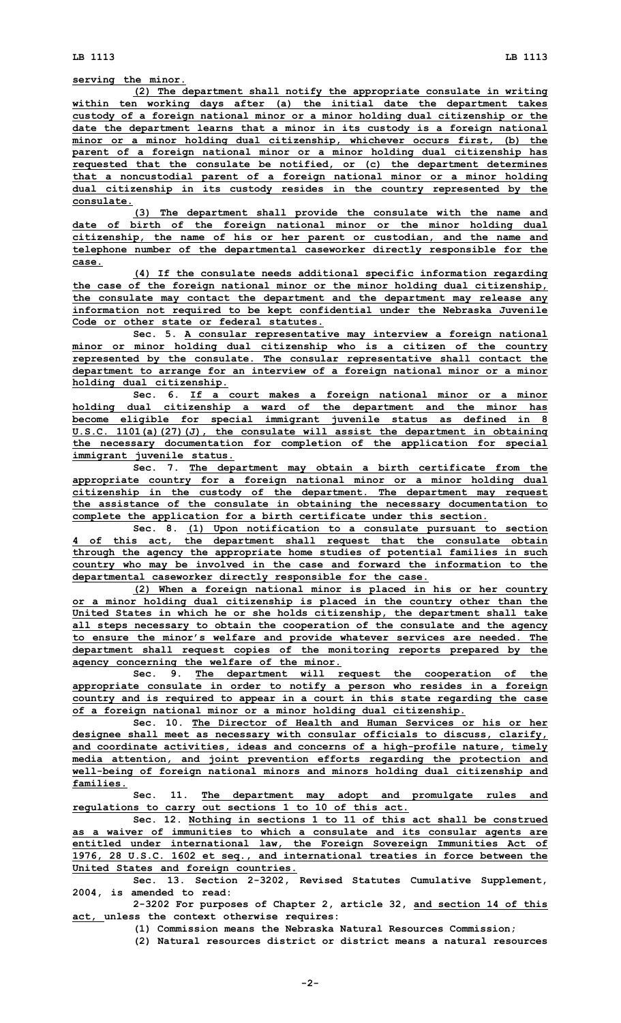**serving the minor.**

**(2) The department shall notify the appropriate consulate in writing within ten working days after (a) the initial date the department takes custody of <sup>a</sup> foreign national minor or <sup>a</sup> minor holding dual citizenship or the date the department learns that <sup>a</sup> minor in its custody is <sup>a</sup> foreign national minor or <sup>a</sup> minor holding dual citizenship, whichever occurs first, (b) the parent of <sup>a</sup> foreign national minor or <sup>a</sup> minor holding dual citizenship has requested that the consulate be notified, or (c) the department determines that <sup>a</sup> noncustodial parent of <sup>a</sup> foreign national minor or <sup>a</sup> minor holding dual citizenship in its custody resides in the country represented by the consulate.**

**(3) The department shall provide the consulate with the name and date of birth of the foreign national minor or the minor holding dual citizenship, the name of his or her parent or custodian, and the name and telephone number of the departmental caseworker directly responsible for the case.**

**(4) If the consulate needs additional specific information regarding the case of the foreign national minor or the minor holding dual citizenship, the consulate may contact the department and the department may release any information not required to be kept confidential under the Nebraska Juvenile Code or other state or federal statutes.**

**Sec. 5. A consular representative may interview <sup>a</sup> foreign national minor or minor holding dual citizenship who is <sup>a</sup> citizen of the country represented by the consulate. The consular representative shall contact the department to arrange for an interview of <sup>a</sup> foreign national minor or <sup>a</sup> minor holding dual citizenship.**

**Sec. 6. If <sup>a</sup> court makes <sup>a</sup> foreign national minor or <sup>a</sup> minor holding dual citizenship <sup>a</sup> ward of the department and the minor has become eligible for special immigrant juvenile status as defined in 8 U.S.C. 1101(a)(27)(J), the consulate will assist the department in obtaining the necessary documentation for completion of the application for special immigrant juvenile status.**

**Sec. 7. The department may obtain <sup>a</sup> birth certificate from the appropriate country for <sup>a</sup> foreign national minor or <sup>a</sup> minor holding dual citizenship in the custody of the department. The department may request the assistance of the consulate in obtaining the necessary documentation to complete the application for <sup>a</sup> birth certificate under this section.**

**Sec. 8. (1) Upon notification to <sup>a</sup> consulate pursuant to section 4 of this act, the department shall request that the consulate obtain through the agency the appropriate home studies of potential families in such country who may be involved in the case and forward the information to the departmental caseworker directly responsible for the case.**

**(2) When <sup>a</sup> foreign national minor is placed in his or her country or <sup>a</sup> minor holding dual citizenship is placed in the country other than the United States in which he or she holds citizenship, the department shall take all steps necessary to obtain the cooperation of the consulate and the agency to ensure the minor's welfare and provide whatever services are needed. The department shall request copies of the monitoring reports prepared by the agency concerning the welfare of the minor.**

**Sec. 9. The department will request the cooperation of the appropriate consulate in order to notify <sup>a</sup> person who resides in <sup>a</sup> foreign country and is required to appear in <sup>a</sup> court in this state regarding the case of <sup>a</sup> foreign national minor or <sup>a</sup> minor holding dual citizenship.**

**Sec. 10. The Director of Health and Human Services or his or her designee shall meet as necessary with consular officials to discuss, clarify, and coordinate activities, ideas and concerns of <sup>a</sup> high-profile nature, timely media attention, and joint prevention efforts regarding the protection and well-being of foreign national minors and minors holding dual citizenship and families.**

**Sec. 11. The department may adopt and promulgate rules and regulations to carry out sections 1 to 10 of this act.**

**Sec. 12. Nothing in sections 1 to 11 of this act shall be construed as <sup>a</sup> waiver of immunities to which <sup>a</sup> consulate and its consular agents are entitled under international law, the Foreign Sovereign Immunities Act of 1976, 28 U.S.C. 1602 et seq., and international treaties in force between the United States and foreign countries.**

**Sec. 13. Section 2-3202, Revised Statutes Cumulative Supplement, 2004, is amended to read:**

**2-3202 For purposes of Chapter 2, article 32, and section 14 of this act, unless the context otherwise requires:**

**(1) Commission means the Nebraska Natural Resources Commission;**

**(2) Natural resources district or district means <sup>a</sup> natural resources**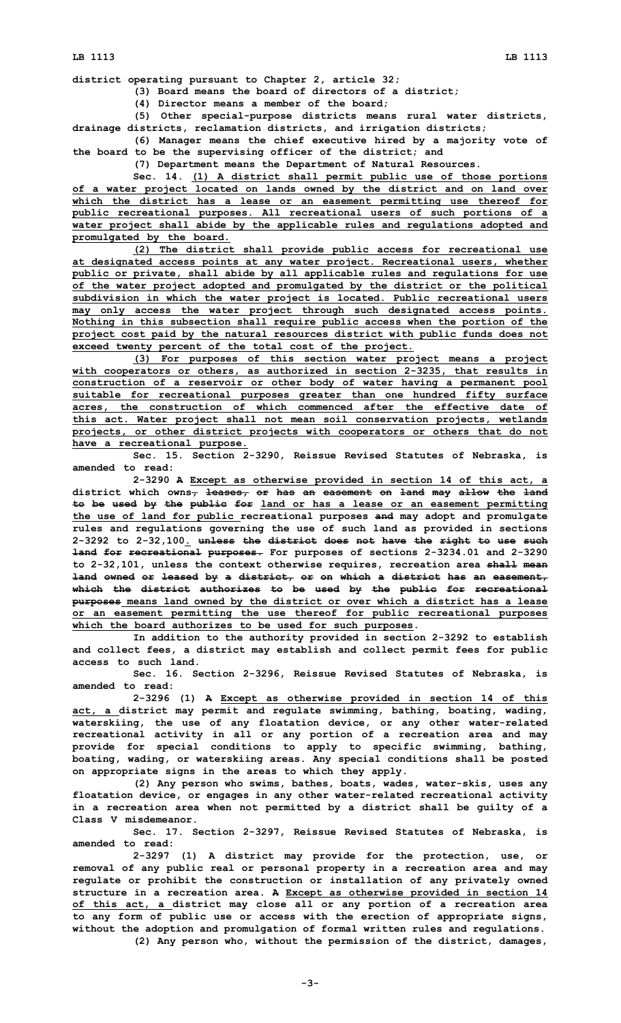**district operating pursuant to Chapter 2, article 32;**

**(3) Board means the board of directors of <sup>a</sup> district;**

**(4) Director means <sup>a</sup> member of the board;**

**(5) Other special-purpose districts means rural water districts, drainage districts, reclamation districts, and irrigation districts;**

**(6) Manager means the chief executive hired by <sup>a</sup> majority vote of the board to be the supervising officer of the district; and**

**(7) Department means the Department of Natural Resources.**

**Sec. 14. (1) <sup>A</sup> district shall permit public use of those portions of <sup>a</sup> water project located on lands owned by the district and on land over which the district has <sup>a</sup> lease or an easement permitting use thereof for public recreational purposes. All recreational users of such portions of <sup>a</sup> water project shall abide by the applicable rules and regulations adopted and promulgated by the board.**

**(2) The district shall provide public access for recreational use at designated access points at any water project. Recreational users, whether public or private, shall abide by all applicable rules and regulations for use of the water project adopted and promulgated by the district or the political subdivision in which the water project is located. Public recreational users may only access the water project through such designated access points. Nothing in this subsection shall require public access when the portion of the project cost paid by the natural resources district with public funds does not exceed twenty percent of the total cost of the project.**

**(3) For purposes of this section water project means <sup>a</sup> project with cooperators or others, as authorized in section 2-3235, that results in construction of <sup>a</sup> reservoir or other body of water having <sup>a</sup> permanent pool suitable for recreational purposes greater than one hundred fifty surface acres, the construction of which commenced after the effective date of this act. Water project shall not mean soil conservation projects, wetlands projects, or other district projects with cooperators or others that do not have <sup>a</sup> recreational purpose.**

**Sec. 15. Section 2-3290, Reissue Revised Statutes of Nebraska, is amended to read:**

**2-3290 <sup>A</sup> Except as otherwise provided in section 14 of this act, <sup>a</sup> district which owns, leases, or has an easement on land may allow the land to be used by the public for land or has <sup>a</sup> lease or an easement permitting the use of land for public recreational purposes and may adopt and promulgate rules and regulations governing the use of such land as provided in sections 2-3292 to 2-32,100. unless the district does not have the right to use such land for recreational purposes. For purposes of sections 2-3234.01 and 2-3290 to 2-32,101, unless the context otherwise requires, recreation area shall mean land owned or leased by <sup>a</sup> district, or on which <sup>a</sup> district has an easement, which the district authorizes to be used by the public for recreational purposes means land owned by the district or over which <sup>a</sup> district has <sup>a</sup> lease or an easement permitting the use thereof for public recreational purposes which the board authorizes to be used for such purposes.**

**In addition to the authority provided in section 2-3292 to establish and collect fees, <sup>a</sup> district may establish and collect permit fees for public access to such land.**

**Sec. 16. Section 2-3296, Reissue Revised Statutes of Nebraska, is amended to read:**

**2-3296 (1) <sup>A</sup> Except as otherwise provided in section 14 of this act, <sup>a</sup> district may permit and regulate swimming, bathing, boating, wading, waterskiing, the use of any floatation device, or any other water-related recreational activity in all or any portion of <sup>a</sup> recreation area and may provide for special conditions to apply to specific swimming, bathing, boating, wading, or waterskiing areas. Any special conditions shall be posted on appropriate signs in the areas to which they apply.**

**(2) Any person who swims, bathes, boats, wades, water-skis, uses any floatation device, or engages in any other water-related recreational activity in <sup>a</sup> recreation area when not permitted by <sup>a</sup> district shall be guilty of <sup>a</sup> Class V misdemeanor.**

**Sec. 17. Section 2-3297, Reissue Revised Statutes of Nebraska, is amended to read:**

**2-3297 (1) <sup>A</sup> district may provide for the protection, use, or removal of any public real or personal property in <sup>a</sup> recreation area and may regulate or prohibit the construction or installation of any privately owned structure in <sup>a</sup> recreation area. <sup>A</sup> Except as otherwise provided in section 14 of this act, <sup>a</sup> district may close all or any portion of <sup>a</sup> recreation area to any form of public use or access with the erection of appropriate signs, without the adoption and promulgation of formal written rules and regulations. (2) Any person who, without the permission of the district, damages,**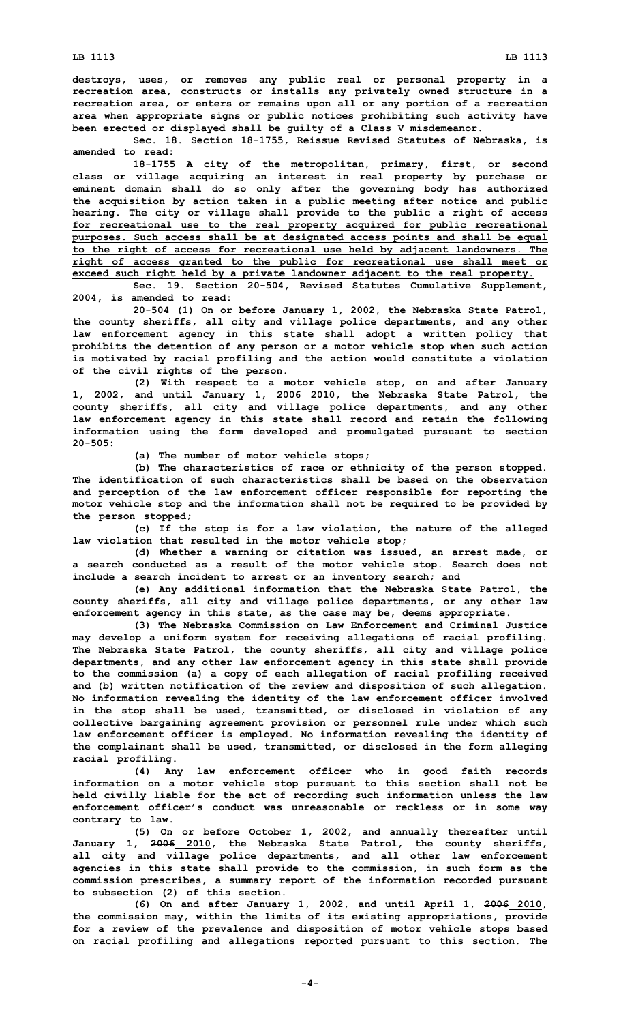**destroys, uses, or removes any public real or personal property in <sup>a</sup> recreation area, constructs or installs any privately owned structure in <sup>a</sup> recreation area, or enters or remains upon all or any portion of <sup>a</sup> recreation area when appropriate signs or public notices prohibiting such activity have been erected or displayed shall be guilty of <sup>a</sup> Class V misdemeanor.**

**Sec. 18. Section 18-1755, Reissue Revised Statutes of Nebraska, is amended to read:**

**18-1755 <sup>A</sup> city of the metropolitan, primary, first, or second class or village acquiring an interest in real property by purchase or eminent domain shall do so only after the governing body has authorized the acquisition by action taken in <sup>a</sup> public meeting after notice and public hearing. The city or village shall provide to the public <sup>a</sup> right of access for recreational use to the real property acquired for public recreational purposes. Such access shall be at designated access points and shall be equal to the right of access for recreational use held by adjacent landowners. The right of access granted to the public for recreational use shall meet or exceed such right held by <sup>a</sup> private landowner adjacent to the real property.**

**Sec. 19. Section 20-504, Revised Statutes Cumulative Supplement, 2004, is amended to read:**

**20-504 (1) On or before January 1, 2002, the Nebraska State Patrol, the county sheriffs, all city and village police departments, and any other law enforcement agency in this state shall adopt <sup>a</sup> written policy that prohibits the detention of any person or <sup>a</sup> motor vehicle stop when such action is motivated by racial profiling and the action would constitute <sup>a</sup> violation of the civil rights of the person.**

**(2) With respect to <sup>a</sup> motor vehicle stop, on and after January 1, 2002, and until January 1, 2006 2010, the Nebraska State Patrol, the county sheriffs, all city and village police departments, and any other law enforcement agency in this state shall record and retain the following information using the form developed and promulgated pursuant to section 20-505:**

**(a) The number of motor vehicle stops;**

**(b) The characteristics of race or ethnicity of the person stopped. The identification of such characteristics shall be based on the observation and perception of the law enforcement officer responsible for reporting the motor vehicle stop and the information shall not be required to be provided by the person stopped;**

**(c) If the stop is for <sup>a</sup> law violation, the nature of the alleged law violation that resulted in the motor vehicle stop;**

**(d) Whether <sup>a</sup> warning or citation was issued, an arrest made, or <sup>a</sup> search conducted as <sup>a</sup> result of the motor vehicle stop. Search does not include <sup>a</sup> search incident to arrest or an inventory search; and**

**(e) Any additional information that the Nebraska State Patrol, the county sheriffs, all city and village police departments, or any other law enforcement agency in this state, as the case may be, deems appropriate.**

**(3) The Nebraska Commission on Law Enforcement and Criminal Justice may develop <sup>a</sup> uniform system for receiving allegations of racial profiling. The Nebraska State Patrol, the county sheriffs, all city and village police departments, and any other law enforcement agency in this state shall provide to the commission (a) <sup>a</sup> copy of each allegation of racial profiling received and (b) written notification of the review and disposition of such allegation. No information revealing the identity of the law enforcement officer involved in the stop shall be used, transmitted, or disclosed in violation of any collective bargaining agreement provision or personnel rule under which such law enforcement officer is employed. No information revealing the identity of the complainant shall be used, transmitted, or disclosed in the form alleging racial profiling.**

**(4) Any law enforcement officer who in good faith records information on <sup>a</sup> motor vehicle stop pursuant to this section shall not be held civilly liable for the act of recording such information unless the law enforcement officer's conduct was unreasonable or reckless or in some way contrary to law.**

**(5) On or before October 1, 2002, and annually thereafter until January 1, 2006 2010, the Nebraska State Patrol, the county sheriffs, all city and village police departments, and all other law enforcement agencies in this state shall provide to the commission, in such form as the commission prescribes, <sup>a</sup> summary report of the information recorded pursuant to subsection (2) of this section.**

**(6) On and after January 1, 2002, and until April 1, 2006 2010, the commission may, within the limits of its existing appropriations, provide for <sup>a</sup> review of the prevalence and disposition of motor vehicle stops based on racial profiling and allegations reported pursuant to this section. The**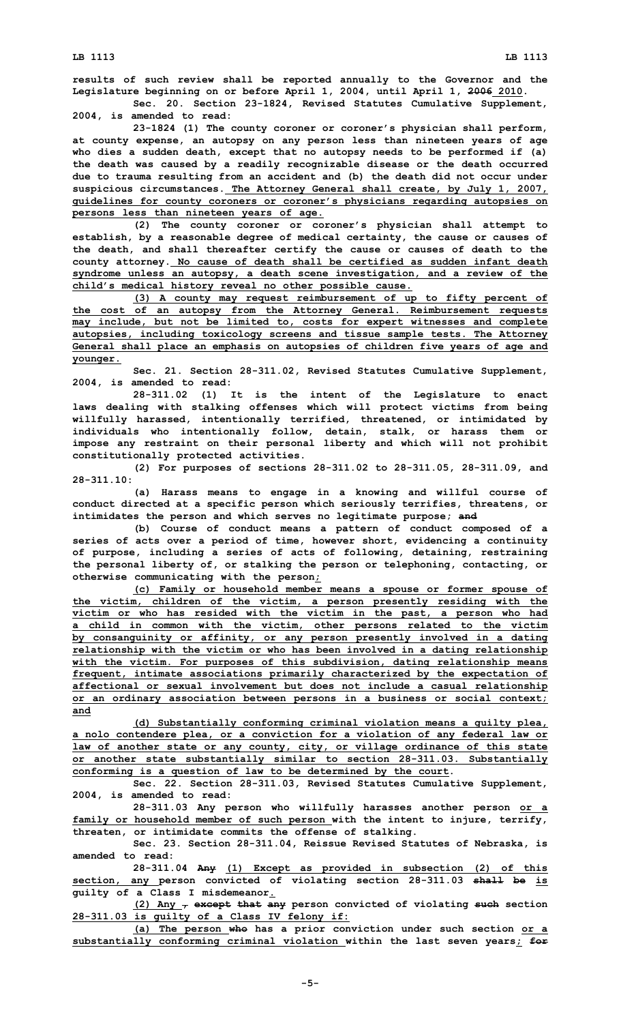**results of such review shall be reported annually to the Governor and the Legislature beginning on or before April 1, 2004, until April 1, 2006 2010.**

**Sec. 20. Section 23-1824, Revised Statutes Cumulative Supplement, 2004, is amended to read:**

**23-1824 (1) The county coroner or coroner's physician shall perform, at county expense, an autopsy on any person less than nineteen years of age who dies <sup>a</sup> sudden death, except that no autopsy needs to be performed if (a) the death was caused by <sup>a</sup> readily recognizable disease or the death occurred due to trauma resulting from an accident and (b) the death did not occur under suspicious circumstances. The Attorney General shall create, by July 1, 2007, guidelines for county coroners or coroner's physicians regarding autopsies on persons less than nineteen years of age.**

**(2) The county coroner or coroner's physician shall attempt to establish, by <sup>a</sup> reasonable degree of medical certainty, the cause or causes of the death, and shall thereafter certify the cause or causes of death to the county attorney. No cause of death shall be certified as sudden infant death syndrome unless an autopsy, <sup>a</sup> death scene investigation, and <sup>a</sup> review of the child's medical history reveal no other possible cause.**

**(3) <sup>A</sup> county may request reimbursement of up to fifty percent of the cost of an autopsy from the Attorney General. Reimbursement requests may include, but not be limited to, costs for expert witnesses and complete autopsies, including toxicology screens and tissue sample tests. The Attorney General shall place an emphasis on autopsies of children five years of age and younger.**

**Sec. 21. Section 28-311.02, Revised Statutes Cumulative Supplement, 2004, is amended to read:**

**28-311.02 (1) It is the intent of the Legislature to enact laws dealing with stalking offenses which will protect victims from being willfully harassed, intentionally terrified, threatened, or intimidated by individuals who intentionally follow, detain, stalk, or harass them or impose any restraint on their personal liberty and which will not prohibit constitutionally protected activities.**

**(2) For purposes of sections 28-311.02 to 28-311.05, 28-311.09, and 28-311.10:**

**(a) Harass means to engage in <sup>a</sup> knowing and willful course of conduct directed at <sup>a</sup> specific person which seriously terrifies, threatens, or intimidates the person and which serves no legitimate purpose; and**

**(b) Course of conduct means <sup>a</sup> pattern of conduct composed of <sup>a</sup> series of acts over <sup>a</sup> period of time, however short, evidencing <sup>a</sup> continuity of purpose, including <sup>a</sup> series of acts of following, detaining, restraining the personal liberty of, or stalking the person or telephoning, contacting, or otherwise communicating with the person;**

**(c) Family or household member means <sup>a</sup> spouse or former spouse of the victim, children of the victim, <sup>a</sup> person presently residing with the victim or who has resided with the victim in the past, <sup>a</sup> person who had <sup>a</sup> child in common with the victim, other persons related to the victim by consanguinity or affinity, or any person presently involved in <sup>a</sup> dating relationship with the victim or who has been involved in <sup>a</sup> dating relationship with the victim. For purposes of this subdivision, dating relationship means frequent, intimate associations primarily characterized by the expectation of affectional or sexual involvement but does not include <sup>a</sup> casual relationship or an ordinary association between persons in <sup>a</sup> business or social context; and**

**(d) Substantially conforming criminal violation means <sup>a</sup> guilty plea, <sup>a</sup> nolo contendere plea, or <sup>a</sup> conviction for <sup>a</sup> violation of any federal law or law of another state or any county, city, or village ordinance of this state or another state substantially similar to section 28-311.03. Substantially conforming is <sup>a</sup> question of law to be determined by the court.**

**Sec. 22. Section 28-311.03, Revised Statutes Cumulative Supplement, 2004, is amended to read:**

**28-311.03 Any person who willfully harasses another person or <sup>a</sup> family or household member of such person with the intent to injure, terrify, threaten, or intimidate commits the offense of stalking.**

**Sec. 23. Section 28-311.04, Reissue Revised Statutes of Nebraska, is amended to read:**

**28-311.04 Any (1) Except as provided in subsection (2) of this section, any person convicted of violating section 28-311.03 shall be is guilty of <sup>a</sup> Class I misdemeanor.**

**(2) Any , except that any person convicted of violating such section 28-311.03 is guilty of <sup>a</sup> Class IV felony if:**

**(a) The person who has <sup>a</sup> prior conviction under such section or <sup>a</sup> substantially conforming criminal violation within the last seven years; for**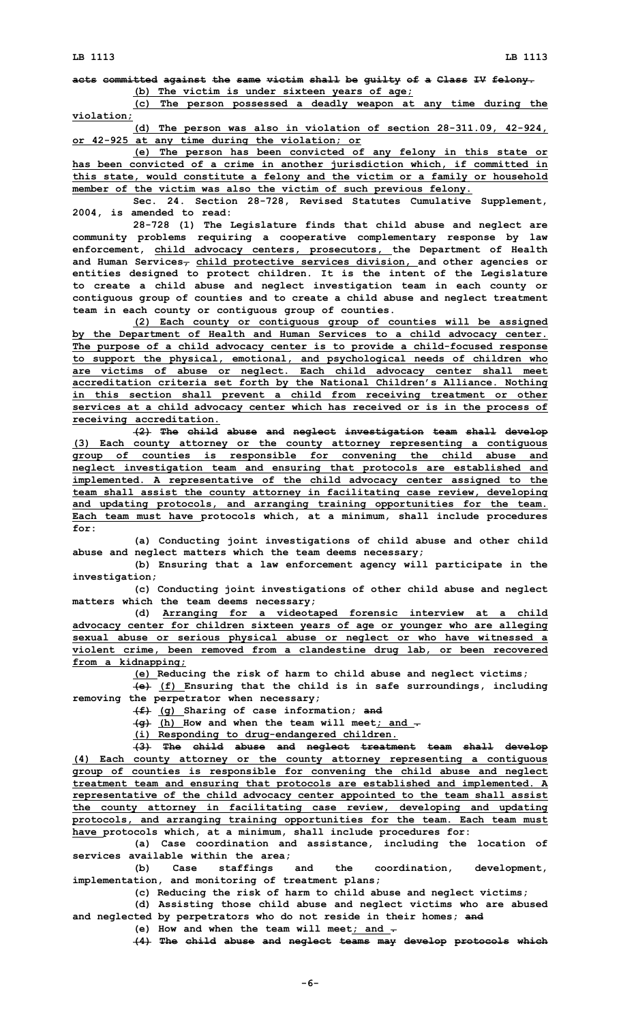**acts committed against the same victim shall be guilty of <sup>a</sup> Class IV felony. (b) The victim is under sixteen years of age;**

**(c) The person possessed <sup>a</sup> deadly weapon at any time during the violation;**

**(d) The person was also in violation of section 28-311.09, 42-924, or 42-925 at any time during the violation; or**

**(e) The person has been convicted of any felony in this state or has been convicted of <sup>a</sup> crime in another jurisdiction which, if committed in this state, would constitute <sup>a</sup> felony and the victim or <sup>a</sup> family or household member of the victim was also the victim of such previous felony.**

**Sec. 24. Section 28-728, Revised Statutes Cumulative Supplement, 2004, is amended to read:**

**28-728 (1) The Legislature finds that child abuse and neglect are community problems requiring <sup>a</sup> cooperative complementary response by law enforcement, child advocacy centers, prosecutors, the Department of Health and Human Services, child protective services division, and other agencies or entities designed to protect children. It is the intent of the Legislature to create <sup>a</sup> child abuse and neglect investigation team in each county or contiguous group of counties and to create <sup>a</sup> child abuse and neglect treatment team in each county or contiguous group of counties.**

**(2) Each county or contiguous group of counties will be assigned by the Department of Health and Human Services to <sup>a</sup> child advocacy center. The purpose of <sup>a</sup> child advocacy center is to provide <sup>a</sup> child-focused response to support the physical, emotional, and psychological needs of children who are victims of abuse or neglect. Each child advocacy center shall meet accreditation criteria set forth by the National Children's Alliance. Nothing in this section shall prevent <sup>a</sup> child from receiving treatment or other services at <sup>a</sup> child advocacy center which has received or is in the process of receiving accreditation.**

**(2) The child abuse and neglect investigation team shall develop (3) Each county attorney or the county attorney representing <sup>a</sup> contiguous group of counties is responsible for convening the child abuse and neglect investigation team and ensuring that protocols are established and implemented. A representative of the child advocacy center assigned to the team shall assist the county attorney in facilitating case review, developing and updating protocols, and arranging training opportunities for the team. Each team must have protocols which, at <sup>a</sup> minimum, shall include procedures for:**

**(a) Conducting joint investigations of child abuse and other child abuse and neglect matters which the team deems necessary;**

**(b) Ensuring that <sup>a</sup> law enforcement agency will participate in the investigation;**

**(c) Conducting joint investigations of other child abuse and neglect matters which the team deems necessary;**

**(d) Arranging for <sup>a</sup> videotaped forensic interview at <sup>a</sup> child advocacy center for children sixteen years of age or younger who are alleging sexual abuse or serious physical abuse or neglect or who have witnessed <sup>a</sup> violent crime, been removed from <sup>a</sup> clandestine drug lab, or been recovered from <sup>a</sup> kidnapping;**

**(e) Reducing the risk of harm to child abuse and neglect victims;**

**(e) (f) Ensuring that the child is in safe surroundings, including removing the perpetrator when necessary;**

**(f) (g) Sharing of case information; and**

**(g) (h) How and when the team will meet; and .**

**(i) Responding to drug-endangered children.**

**(3) The child abuse and neglect treatment team shall develop (4) Each county attorney or the county attorney representing <sup>a</sup> contiguous group of counties is responsible for convening the child abuse and neglect treatment team and ensuring that protocols are established and implemented. A representative of the child advocacy center appointed to the team shall assist the county attorney in facilitating case review, developing and updating protocols, and arranging training opportunities for the team. Each team must have protocols which, at <sup>a</sup> minimum, shall include procedures for:**

**(a) Case coordination and assistance, including the location of services available within the area;**

**(b) Case staffings and the coordination, development, implementation, and monitoring of treatment plans;**

**(c) Reducing the risk of harm to child abuse and neglect victims;**

**(d) Assisting those child abuse and neglect victims who are abused and neglected by perpetrators who do not reside in their homes; and**

**(e) How and when the team will meet; and .**

**(4) The child abuse and neglect teams may develop protocols which**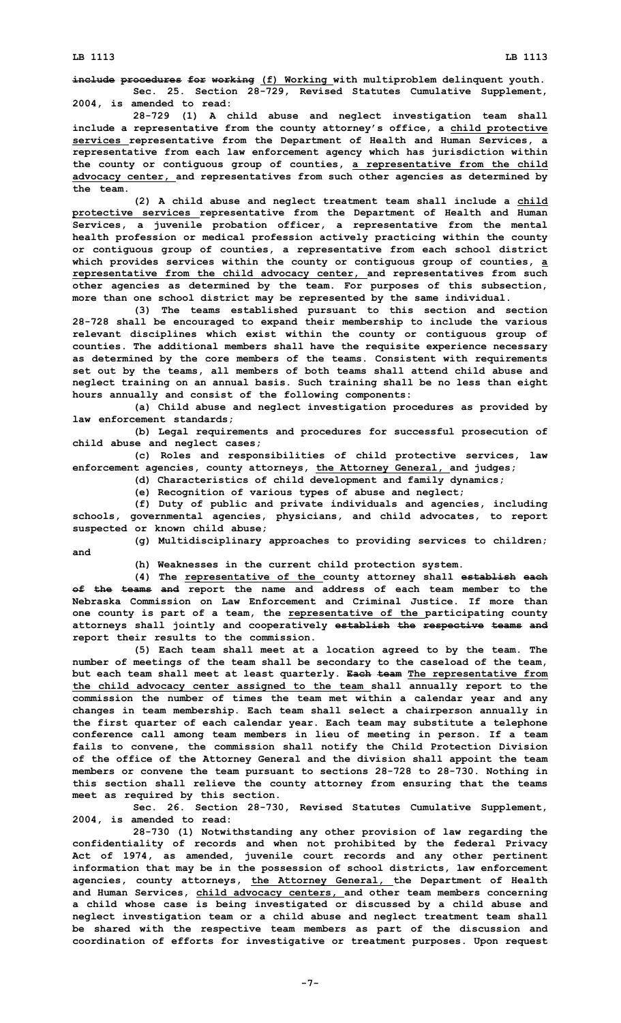**LB 1113 LB 1113**

**include procedures for working (f) Working with multiproblem delinquent youth. Sec. 25. Section 28-729, Revised Statutes Cumulative Supplement, 2004, is amended to read:**

**28-729 (1) <sup>A</sup> child abuse and neglect investigation team shall include <sup>a</sup> representative from the county attorney's office, <sup>a</sup> child protective services representative from the Department of Health and Human Services, <sup>a</sup> representative from each law enforcement agency which has jurisdiction within the county or contiguous group of counties, <sup>a</sup> representative from the child advocacy center, and representatives from such other agencies as determined by the team.**

**(2) <sup>A</sup> child abuse and neglect treatment team shall include <sup>a</sup> child protective services representative from the Department of Health and Human Services, <sup>a</sup> juvenile probation officer, <sup>a</sup> representative from the mental health profession or medical profession actively practicing within the county or contiguous group of counties, <sup>a</sup> representative from each school district which provides services within the county or contiguous group of counties, <sup>a</sup> representative from the child advocacy center, and representatives from such other agencies as determined by the team. For purposes of this subsection, more than one school district may be represented by the same individual.**

**(3) The teams established pursuant to this section and section 28-728 shall be encouraged to expand their membership to include the various relevant disciplines which exist within the county or contiguous group of counties. The additional members shall have the requisite experience necessary as determined by the core members of the teams. Consistent with requirements set out by the teams, all members of both teams shall attend child abuse and neglect training on an annual basis. Such training shall be no less than eight hours annually and consist of the following components:**

**(a) Child abuse and neglect investigation procedures as provided by law enforcement standards;**

**(b) Legal requirements and procedures for successful prosecution of child abuse and neglect cases;**

**(c) Roles and responsibilities of child protective services, law enforcement agencies, county attorneys, the Attorney General, and judges;**

**(d) Characteristics of child development and family dynamics;**

**(e) Recognition of various types of abuse and neglect;**

**(f) Duty of public and private individuals and agencies, including schools, governmental agencies, physicians, and child advocates, to report suspected or known child abuse;**

**(g) Multidisciplinary approaches to providing services to children; and**

**(h) Weaknesses in the current child protection system.**

**(4) The representative of the county attorney shall establish each of the teams and report the name and address of each team member to the Nebraska Commission on Law Enforcement and Criminal Justice. If more than one county is part of <sup>a</sup> team, the representative of the participating county attorneys shall jointly and cooperatively establish the respective teams and report their results to the commission.**

**(5) Each team shall meet at <sup>a</sup> location agreed to by the team. The number of meetings of the team shall be secondary to the caseload of the team, but each team shall meet at least quarterly. Each team The representative from the child advocacy center assigned to the team shall annually report to the commission the number of times the team met within <sup>a</sup> calendar year and any changes in team membership. Each team shall select <sup>a</sup> chairperson annually in the first quarter of each calendar year. Each team may substitute <sup>a</sup> telephone conference call among team members in lieu of meeting in person. If <sup>a</sup> team fails to convene, the commission shall notify the Child Protection Division of the office of the Attorney General and the division shall appoint the team members or convene the team pursuant to sections 28-728 to 28-730. Nothing in this section shall relieve the county attorney from ensuring that the teams meet as required by this section.**

**Sec. 26. Section 28-730, Revised Statutes Cumulative Supplement, 2004, is amended to read:**

**28-730 (1) Notwithstanding any other provision of law regarding the confidentiality of records and when not prohibited by the federal Privacy Act of 1974, as amended, juvenile court records and any other pertinent information that may be in the possession of school districts, law enforcement agencies, county attorneys, the Attorney General, the Department of Health and Human Services, child advocacy centers, and other team members concerning <sup>a</sup> child whose case is being investigated or discussed by <sup>a</sup> child abuse and neglect investigation team or <sup>a</sup> child abuse and neglect treatment team shall be shared with the respective team members as part of the discussion and coordination of efforts for investigative or treatment purposes. Upon request**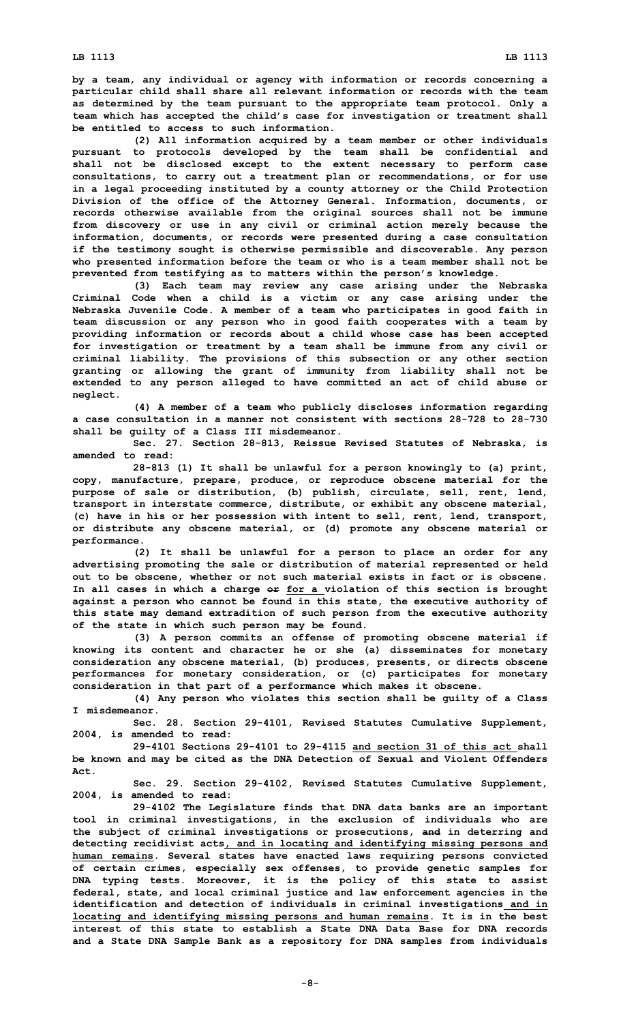**by <sup>a</sup> team, any individual or agency with information or records concerning <sup>a</sup> particular child shall share all relevant information or records with the team as determined by the team pursuant to the appropriate team protocol. Only <sup>a</sup> team which has accepted the child's case for investigation or treatment shall be entitled to access to such information.**

**(2) All information acquired by <sup>a</sup> team member or other individuals pursuant to protocols developed by the team shall be confidential and shall not be disclosed except to the extent necessary to perform case consultations, to carry out <sup>a</sup> treatment plan or recommendations, or for use in <sup>a</sup> legal proceeding instituted by <sup>a</sup> county attorney or the Child Protection Division of the office of the Attorney General. Information, documents, or records otherwise available from the original sources shall not be immune from discovery or use in any civil or criminal action merely because the information, documents, or records were presented during <sup>a</sup> case consultation if the testimony sought is otherwise permissible and discoverable. Any person who presented information before the team or who is <sup>a</sup> team member shall not be prevented from testifying as to matters within the person's knowledge.**

**(3) Each team may review any case arising under the Nebraska Criminal Code when <sup>a</sup> child is <sup>a</sup> victim or any case arising under the Nebraska Juvenile Code. A member of <sup>a</sup> team who participates in good faith in team discussion or any person who in good faith cooperates with <sup>a</sup> team by providing information or records about <sup>a</sup> child whose case has been accepted for investigation or treatment by <sup>a</sup> team shall be immune from any civil or criminal liability. The provisions of this subsection or any other section granting or allowing the grant of immunity from liability shall not be extended to any person alleged to have committed an act of child abuse or neglect.**

**(4) <sup>A</sup> member of <sup>a</sup> team who publicly discloses information regarding a case consultation in a manner not consistent with sections 28-728 to 28-730 shall be guilty of <sup>a</sup> Class III misdemeanor.**

**Sec. 27. Section 28-813, Reissue Revised Statutes of Nebraska, is amended to read:**

**28-813 (1) It shall be unlawful for <sup>a</sup> person knowingly to (a) print, copy, manufacture, prepare, produce, or reproduce obscene material for the purpose of sale or distribution, (b) publish, circulate, sell, rent, lend, transport in interstate commerce, distribute, or exhibit any obscene material, (c) have in his or her possession with intent to sell, rent, lend, transport, or distribute any obscene material, or (d) promote any obscene material or performance.**

**(2) It shall be unlawful for <sup>a</sup> person to place an order for any advertising promoting the sale or distribution of material represented or held out to be obscene, whether or not such material exists in fact or is obscene. In all cases in which <sup>a</sup> charge or for <sup>a</sup> violation of this section is brought against <sup>a</sup> person who cannot be found in this state, the executive authority of this state may demand extradition of such person from the executive authority of the state in which such person may be found.**

**(3) <sup>A</sup> person commits an offense of promoting obscene material if knowing its content and character he or she (a) disseminates for monetary consideration any obscene material, (b) produces, presents, or directs obscene performances for monetary consideration, or (c) participates for monetary consideration in that part of <sup>a</sup> performance which makes it obscene.**

**(4) Any person who violates this section shall be guilty of <sup>a</sup> Class I misdemeanor.**

**Sec. 28. Section 29-4101, Revised Statutes Cumulative Supplement, 2004, is amended to read:**

**29-4101 Sections 29-4101 to 29-4115 and section 31 of this act shall be known and may be cited as the DNA Detection of Sexual and Violent Offenders Act.**

**Sec. 29. Section 29-4102, Revised Statutes Cumulative Supplement, 2004, is amended to read:**

**29-4102 The Legislature finds that DNA data banks are an important tool in criminal investigations, in the exclusion of individuals who are the subject of criminal investigations or prosecutions, and in deterring and detecting recidivist acts, and in locating and identifying missing persons and human remains. Several states have enacted laws requiring persons convicted of certain crimes, especially sex offenses, to provide genetic samples for DNA typing tests. Moreover, it is the policy of this state to assist federal, state, and local criminal justice and law enforcement agencies in the identification and detection of individuals in criminal investigations and in locating and identifying missing persons and human remains. It is in the best interest of this state to establish a State DNA Data Base for DNA records and <sup>a</sup> State DNA Sample Bank as <sup>a</sup> repository for DNA samples from individuals**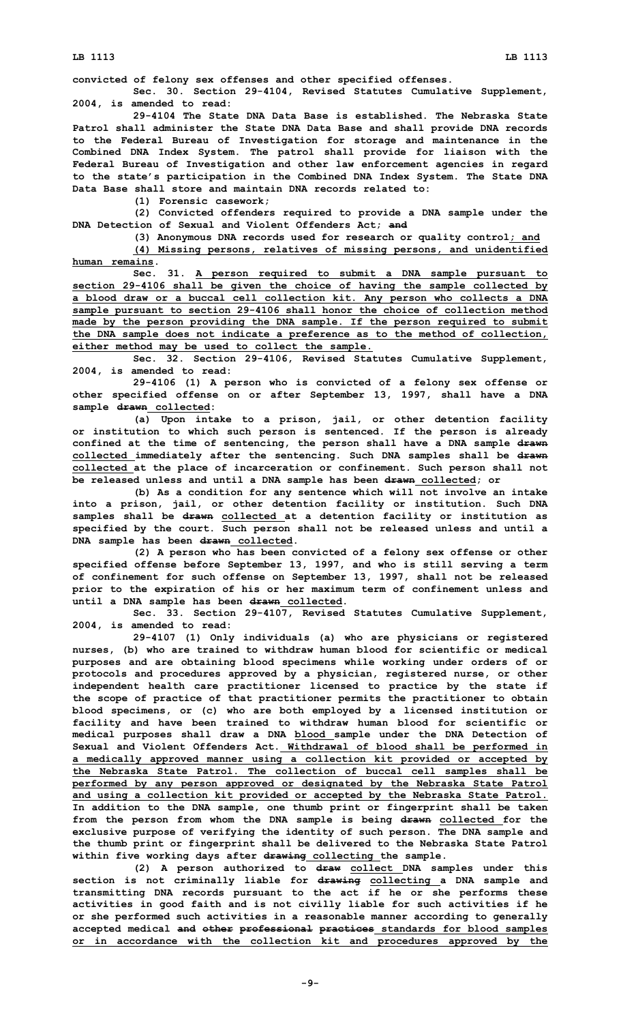**convicted of felony sex offenses and other specified offenses.**

**Sec. 30. Section 29-4104, Revised Statutes Cumulative Supplement, 2004, is amended to read:**

**29-4104 The State DNA Data Base is established. The Nebraska State Patrol shall administer the State DNA Data Base and shall provide DNA records to the Federal Bureau of Investigation for storage and maintenance in the Combined DNA Index System. The patrol shall provide for liaison with the Federal Bureau of Investigation and other law enforcement agencies in regard to the state's participation in the Combined DNA Index System. The State DNA Data Base shall store and maintain DNA records related to:**

**(1) Forensic casework;**

**(2) Convicted offenders required to provide <sup>a</sup> DNA sample under the DNA Detection of Sexual and Violent Offenders Act; and**

**(3) Anonymous DNA records used for research or quality control; and (4) Missing persons, relatives of missing persons, and unidentified human remains.**

**Sec. 31. <sup>A</sup> person required to submit <sup>a</sup> DNA sample pursuant to section 29-4106 shall be given the choice of having the sample collected by <sup>a</sup> blood draw or <sup>a</sup> buccal cell collection kit. Any person who collects <sup>a</sup> DNA sample pursuant to section 29-4106 shall honor the choice of collection method made by the person providing the DNA sample. If the person required to submit the DNA sample does not indicate <sup>a</sup> preference as to the method of collection, either method may be used to collect the sample.**

**Sec. 32. Section 29-4106, Revised Statutes Cumulative Supplement, 2004, is amended to read:**

**29-4106 (1) <sup>A</sup> person who is convicted of <sup>a</sup> felony sex offense or other specified offense on or after September 13, 1997, shall have <sup>a</sup> DNA sample drawn collected:**

**(a) Upon intake to <sup>a</sup> prison, jail, or other detention facility or institution to which such person is sentenced. If the person is already confined at the time of sentencing, the person shall have <sup>a</sup> DNA sample drawn collected immediately after the sentencing. Such DNA samples shall be drawn collected at the place of incarceration or confinement. Such person shall not be released unless and until <sup>a</sup> DNA sample has been drawn collected; or**

**(b) As <sup>a</sup> condition for any sentence which will not involve an intake into <sup>a</sup> prison, jail, or other detention facility or institution. Such DNA samples shall be drawn collected at <sup>a</sup> detention facility or institution as specified by the court. Such person shall not be released unless and until <sup>a</sup> DNA sample has been drawn collected.**

**(2) <sup>A</sup> person who has been convicted of <sup>a</sup> felony sex offense or other specified offense before September 13, 1997, and who is still serving <sup>a</sup> term of confinement for such offense on September 13, 1997, shall not be released prior to the expiration of his or her maximum term of confinement unless and until <sup>a</sup> DNA sample has been drawn collected.**

**Sec. 33. Section 29-4107, Revised Statutes Cumulative Supplement, 2004, is amended to read:**

**29-4107 (1) Only individuals (a) who are physicians or registered nurses, (b) who are trained to withdraw human blood for scientific or medical purposes and are obtaining blood specimens while working under orders of or protocols and procedures approved by <sup>a</sup> physician, registered nurse, or other independent health care practitioner licensed to practice by the state if the scope of practice of that practitioner permits the practitioner to obtain blood specimens, or (c) who are both employed by <sup>a</sup> licensed institution or facility and have been trained to withdraw human blood for scientific or medical purposes shall draw <sup>a</sup> DNA blood sample under the DNA Detection of Sexual and Violent Offenders Act. Withdrawal of blood shall be performed in <sup>a</sup> medically approved manner using <sup>a</sup> collection kit provided or accepted by the Nebraska State Patrol. The collection of buccal cell samples shall be performed by any person approved or designated by the Nebraska State Patrol and using <sup>a</sup> collection kit provided or accepted by the Nebraska State Patrol. In addition to the DNA sample, one thumb print or fingerprint shall be taken from the person from whom the DNA sample is being drawn collected for the exclusive purpose of verifying the identity of such person. The DNA sample and the thumb print or fingerprint shall be delivered to the Nebraska State Patrol within five working days after drawing collecting the sample.**

**(2) <sup>A</sup> person authorized to draw collect DNA samples under this section is not criminally liable for drawing collecting <sup>a</sup> DNA sample and transmitting DNA records pursuant to the act if he or she performs these activities in good faith and is not civilly liable for such activities if he or she performed such activities in <sup>a</sup> reasonable manner according to generally accepted medical and other professional practices standards for blood samples or in accordance with the collection kit and procedures approved by the**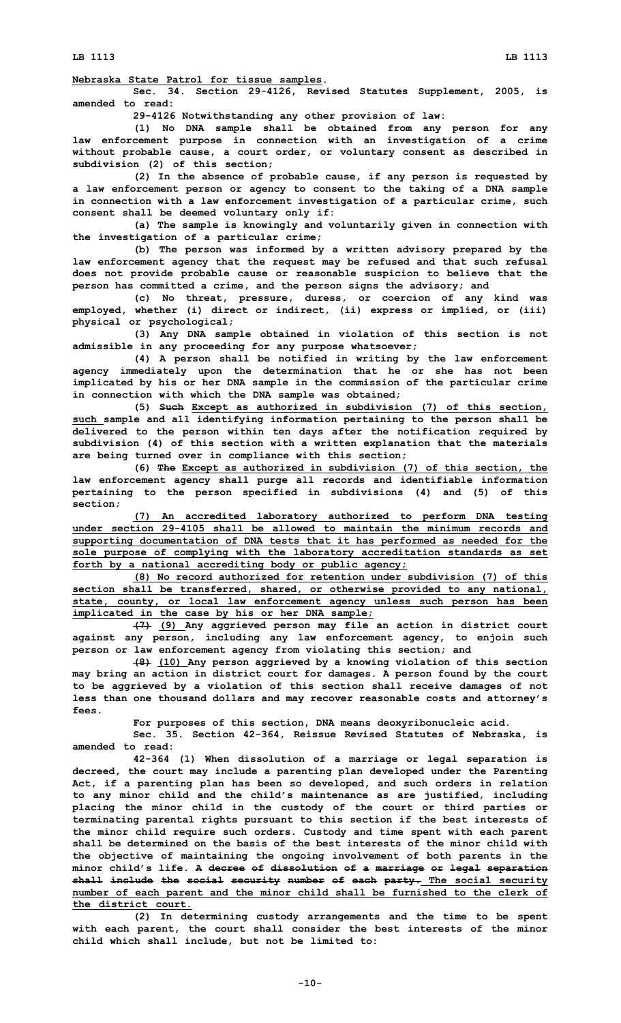**LB 1113 LB 1113**

**Nebraska State Patrol for tissue samples.**

**Sec. 34. Section 29-4126, Revised Statutes Supplement, 2005, is amended to read:**

**29-4126 Notwithstanding any other provision of law:**

**(1) No DNA sample shall be obtained from any person for any law enforcement purpose in connection with an investigation of <sup>a</sup> crime without probable cause, <sup>a</sup> court order, or voluntary consent as described in subdivision (2) of this section;**

**(2) In the absence of probable cause, if any person is requested by <sup>a</sup> law enforcement person or agency to consent to the taking of <sup>a</sup> DNA sample in connection with <sup>a</sup> law enforcement investigation of <sup>a</sup> particular crime, such consent shall be deemed voluntary only if:**

**(a) The sample is knowingly and voluntarily given in connection with the investigation of <sup>a</sup> particular crime;**

**(b) The person was informed by <sup>a</sup> written advisory prepared by the law enforcement agency that the request may be refused and that such refusal does not provide probable cause or reasonable suspicion to believe that the person has committed <sup>a</sup> crime, and the person signs the advisory; and**

**(c) No threat, pressure, duress, or coercion of any kind was employed, whether (i) direct or indirect, (ii) express or implied, or (iii) physical or psychological;**

**(3) Any DNA sample obtained in violation of this section is not admissible in any proceeding for any purpose whatsoever;**

**(4) <sup>A</sup> person shall be notified in writing by the law enforcement agency immediately upon the determination that he or she has not been implicated by his or her DNA sample in the commission of the particular crime in connection with which the DNA sample was obtained;**

**(5) Such Except as authorized in subdivision (7) of this section, such sample and all identifying information pertaining to the person shall be delivered to the person within ten days after the notification required by subdivision (4) of this section with <sup>a</sup> written explanation that the materials are being turned over in compliance with this section;**

**(6) The Except as authorized in subdivision (7) of this section, the law enforcement agency shall purge all records and identifiable information pertaining to the person specified in subdivisions (4) and (5) of this section;**

**(7) An accredited laboratory authorized to perform DNA testing under section 29-4105 shall be allowed to maintain the minimum records and supporting documentation of DNA tests that it has performed as needed for the sole purpose of complying with the laboratory accreditation standards as set forth by <sup>a</sup> national accrediting body or public agency;**

**(8) No record authorized for retention under subdivision (7) of this section shall be transferred, shared, or otherwise provided to any national, state, county, or local law enforcement agency unless such person has been implicated in the case by his or her DNA sample;**

**(7) (9) Any aggrieved person may file an action in district court against any person, including any law enforcement agency, to enjoin such person or law enforcement agency from violating this section; and**

**(8) (10) Any person aggrieved by <sup>a</sup> knowing violation of this section may bring an action in district court for damages. A person found by the court to be aggrieved by <sup>a</sup> violation of this section shall receive damages of not less than one thousand dollars and may recover reasonable costs and attorney's fees.**

**For purposes of this section, DNA means deoxyribonucleic acid.**

**Sec. 35. Section 42-364, Reissue Revised Statutes of Nebraska, is amended to read:**

**42-364 (1) When dissolution of <sup>a</sup> marriage or legal separation is decreed, the court may include <sup>a</sup> parenting plan developed under the Parenting Act, if <sup>a</sup> parenting plan has been so developed, and such orders in relation to any minor child and the child's maintenance as are justified, including placing the minor child in the custody of the court or third parties or terminating parental rights pursuant to this section if the best interests of the minor child require such orders. Custody and time spent with each parent shall be determined on the basis of the best interests of the minor child with the objective of maintaining the ongoing involvement of both parents in the minor child's life. A decree of dissolution of <sup>a</sup> marriage or legal separation shall include the social security number of each party. The social security number of each parent and the minor child shall be furnished to the clerk of the district court.**

**(2) In determining custody arrangements and the time to be spent with each parent, the court shall consider the best interests of the minor child which shall include, but not be limited to:**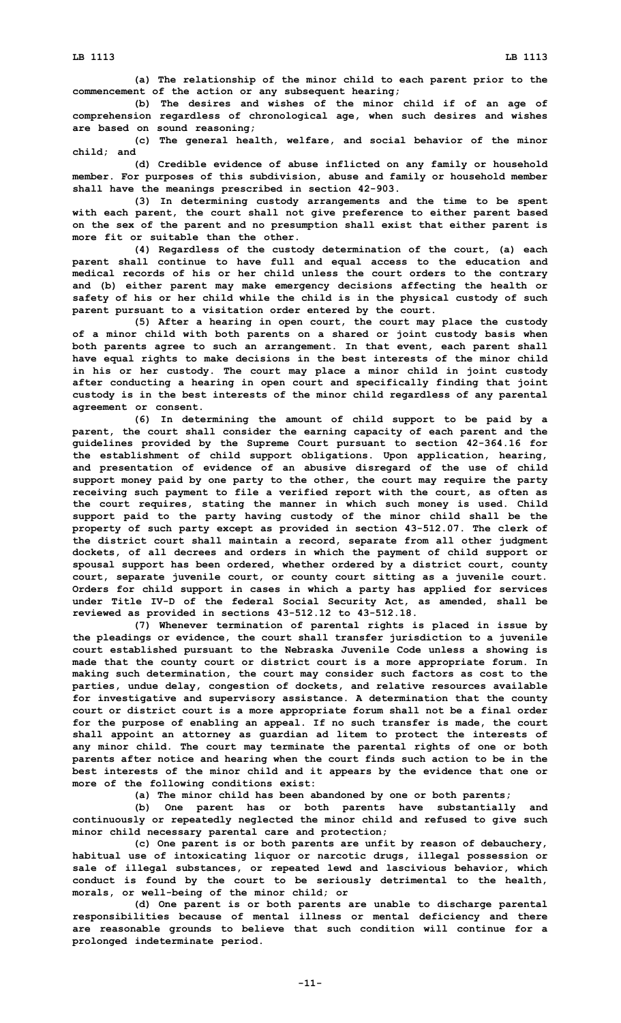**(a) The relationship of the minor child to each parent prior to the commencement of the action or any subsequent hearing;**

**(b) The desires and wishes of the minor child if of an age of comprehension regardless of chronological age, when such desires and wishes are based on sound reasoning;**

**(c) The general health, welfare, and social behavior of the minor child; and**

**(d) Credible evidence of abuse inflicted on any family or household member. For purposes of this subdivision, abuse and family or household member shall have the meanings prescribed in section 42-903.**

**(3) In determining custody arrangements and the time to be spent with each parent, the court shall not give preference to either parent based on the sex of the parent and no presumption shall exist that either parent is more fit or suitable than the other.**

**(4) Regardless of the custody determination of the court, (a) each parent shall continue to have full and equal access to the education and medical records of his or her child unless the court orders to the contrary and (b) either parent may make emergency decisions affecting the health or safety of his or her child while the child is in the physical custody of such parent pursuant to <sup>a</sup> visitation order entered by the court.**

**(5) After <sup>a</sup> hearing in open court, the court may place the custody of <sup>a</sup> minor child with both parents on <sup>a</sup> shared or joint custody basis when both parents agree to such an arrangement. In that event, each parent shall have equal rights to make decisions in the best interests of the minor child in his or her custody. The court may place <sup>a</sup> minor child in joint custody after conducting <sup>a</sup> hearing in open court and specifically finding that joint custody is in the best interests of the minor child regardless of any parental agreement or consent.**

**(6) In determining the amount of child support to be paid by <sup>a</sup> parent, the court shall consider the earning capacity of each parent and the guidelines provided by the Supreme Court pursuant to section 42-364.16 for the establishment of child support obligations. Upon application, hearing, and presentation of evidence of an abusive disregard of the use of child support money paid by one party to the other, the court may require the party receiving such payment to file <sup>a</sup> verified report with the court, as often as the court requires, stating the manner in which such money is used. Child support paid to the party having custody of the minor child shall be the property of such party except as provided in section 43-512.07. The clerk of the district court shall maintain <sup>a</sup> record, separate from all other judgment dockets, of all decrees and orders in which the payment of child support or spousal support has been ordered, whether ordered by <sup>a</sup> district court, county court, separate juvenile court, or county court sitting as <sup>a</sup> juvenile court. Orders for child support in cases in which <sup>a</sup> party has applied for services under Title IV-D of the federal Social Security Act, as amended, shall be reviewed as provided in sections 43-512.12 to 43-512.18.**

**(7) Whenever termination of parental rights is placed in issue by the pleadings or evidence, the court shall transfer jurisdiction to <sup>a</sup> juvenile court established pursuant to the Nebraska Juvenile Code unless <sup>a</sup> showing is made that the county court or district court is <sup>a</sup> more appropriate forum. In making such determination, the court may consider such factors as cost to the parties, undue delay, congestion of dockets, and relative resources available for investigative and supervisory assistance. A determination that the county court or district court is <sup>a</sup> more appropriate forum shall not be <sup>a</sup> final order for the purpose of enabling an appeal. If no such transfer is made, the court shall appoint an attorney as guardian ad litem to protect the interests of any minor child. The court may terminate the parental rights of one or both parents after notice and hearing when the court finds such action to be in the best interests of the minor child and it appears by the evidence that one or more of the following conditions exist:**

**(a) The minor child has been abandoned by one or both parents;**

**(b) One parent has or both parents have substantially and continuously or repeatedly neglected the minor child and refused to give such minor child necessary parental care and protection;**

**(c) One parent is or both parents are unfit by reason of debauchery, habitual use of intoxicating liquor or narcotic drugs, illegal possession or sale of illegal substances, or repeated lewd and lascivious behavior, which conduct is found by the court to be seriously detrimental to the health, morals, or well-being of the minor child; or**

**(d) One parent is or both parents are unable to discharge parental responsibilities because of mental illness or mental deficiency and there are reasonable grounds to believe that such condition will continue for <sup>a</sup> prolonged indeterminate period.**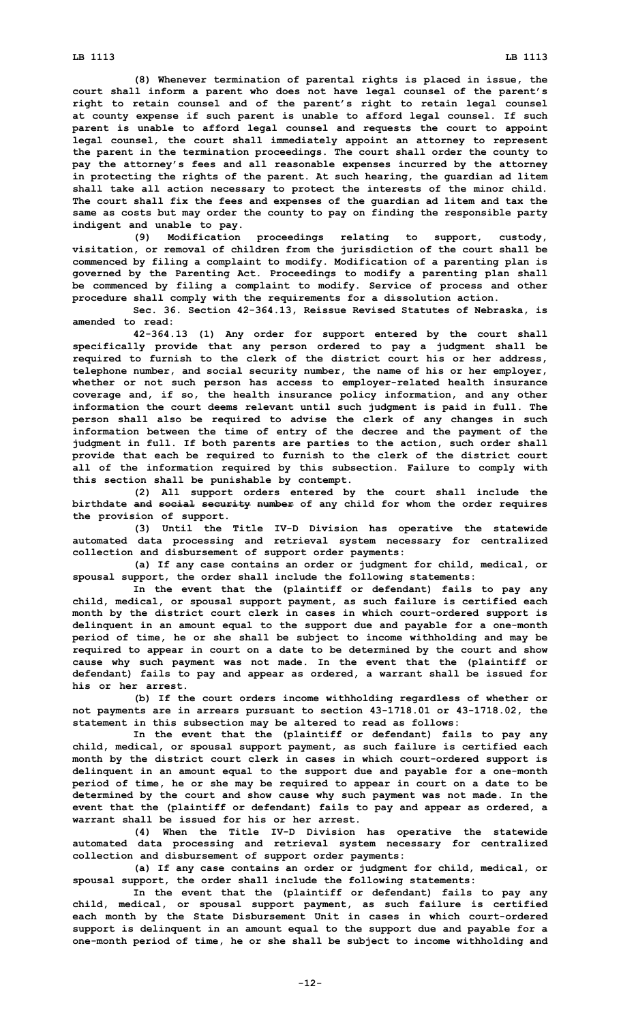**(8) Whenever termination of parental rights is placed in issue, the court shall inform <sup>a</sup> parent who does not have legal counsel of the parent's right to retain counsel and of the parent's right to retain legal counsel at county expense if such parent is unable to afford legal counsel. If such parent is unable to afford legal counsel and requests the court to appoint legal counsel, the court shall immediately appoint an attorney to represent the parent in the termination proceedings. The court shall order the county to pay the attorney's fees and all reasonable expenses incurred by the attorney in protecting the rights of the parent. At such hearing, the guardian ad litem shall take all action necessary to protect the interests of the minor child. The court shall fix the fees and expenses of the guardian ad litem and tax the same as costs but may order the county to pay on finding the responsible party indigent and unable to pay.**

**(9) Modification proceedings relating to support, custody, visitation, or removal of children from the jurisdiction of the court shall be commenced by filing <sup>a</sup> complaint to modify. Modification of <sup>a</sup> parenting plan is governed by the Parenting Act. Proceedings to modify <sup>a</sup> parenting plan shall be commenced by filing <sup>a</sup> complaint to modify. Service of process and other procedure shall comply with the requirements for <sup>a</sup> dissolution action.**

**Sec. 36. Section 42-364.13, Reissue Revised Statutes of Nebraska, is amended to read:**

**42-364.13 (1) Any order for support entered by the court shall specifically provide that any person ordered to pay <sup>a</sup> judgment shall be required to furnish to the clerk of the district court his or her address, telephone number, and social security number, the name of his or her employer, whether or not such person has access to employer-related health insurance coverage and, if so, the health insurance policy information, and any other information the court deems relevant until such judgment is paid in full. The person shall also be required to advise the clerk of any changes in such information between the time of entry of the decree and the payment of the judgment in full. If both parents are parties to the action, such order shall provide that each be required to furnish to the clerk of the district court all of the information required by this subsection. Failure to comply with this section shall be punishable by contempt.**

**(2) All support orders entered by the court shall include the birthdate and social security number of any child for whom the order requires the provision of support.**

**(3) Until the Title IV-D Division has operative the statewide automated data processing and retrieval system necessary for centralized collection and disbursement of support order payments:**

**(a) If any case contains an order or judgment for child, medical, or spousal support, the order shall include the following statements:**

**In the event that the (plaintiff or defendant) fails to pay any child, medical, or spousal support payment, as such failure is certified each month by the district court clerk in cases in which court-ordered support is delinquent in an amount equal to the support due and payable for <sup>a</sup> one-month period of time, he or she shall be subject to income withholding and may be required to appear in court on <sup>a</sup> date to be determined by the court and show cause why such payment was not made. In the event that the (plaintiff or defendant) fails to pay and appear as ordered, <sup>a</sup> warrant shall be issued for his or her arrest.**

**(b) If the court orders income withholding regardless of whether or not payments are in arrears pursuant to section 43-1718.01 or 43-1718.02, the statement in this subsection may be altered to read as follows:**

**In the event that the (plaintiff or defendant) fails to pay any child, medical, or spousal support payment, as such failure is certified each month by the district court clerk in cases in which court-ordered support is delinquent in an amount equal to the support due and payable for <sup>a</sup> one-month period of time, he or she may be required to appear in court on <sup>a</sup> date to be determined by the court and show cause why such payment was not made. In the event that the (plaintiff or defendant) fails to pay and appear as ordered, <sup>a</sup> warrant shall be issued for his or her arrest.**

**(4) When the Title IV-D Division has operative the statewide automated data processing and retrieval system necessary for centralized collection and disbursement of support order payments:**

**(a) If any case contains an order or judgment for child, medical, or spousal support, the order shall include the following statements:**

**In the event that the (plaintiff or defendant) fails to pay any child, medical, or spousal support payment, as such failure is certified each month by the State Disbursement Unit in cases in which court-ordered support is delinquent in an amount equal to the support due and payable for <sup>a</sup> one-month period of time, he or she shall be subject to income withholding and**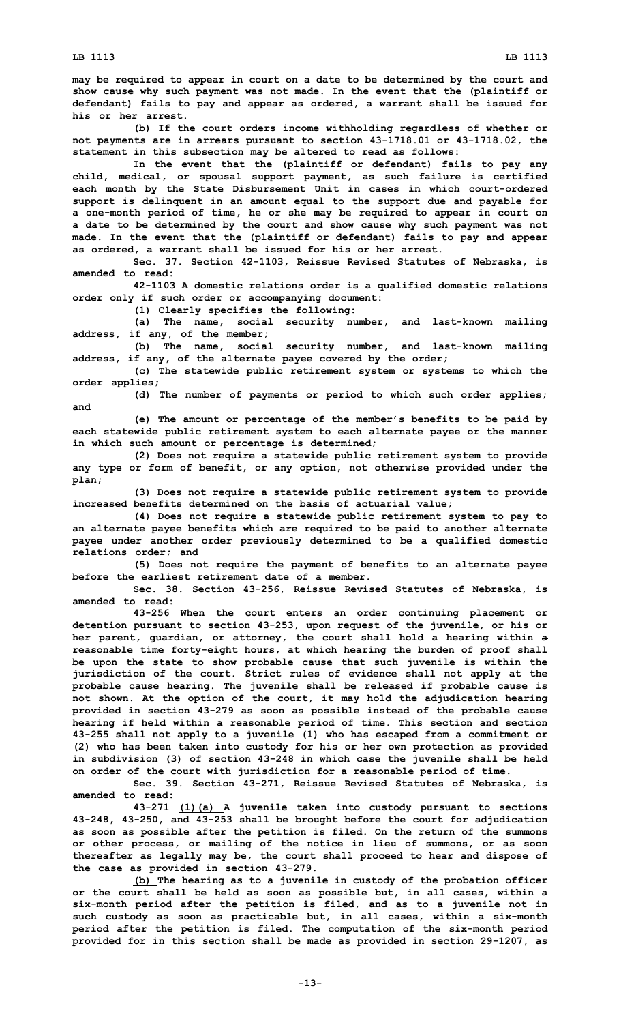**may be required to appear in court on <sup>a</sup> date to be determined by the court and show cause why such payment was not made. In the event that the (plaintiff or defendant) fails to pay and appear as ordered, <sup>a</sup> warrant shall be issued for his or her arrest.**

**(b) If the court orders income withholding regardless of whether or not payments are in arrears pursuant to section 43-1718.01 or 43-1718.02, the statement in this subsection may be altered to read as follows:**

**In the event that the (plaintiff or defendant) fails to pay any child, medical, or spousal support payment, as such failure is certified each month by the State Disbursement Unit in cases in which court-ordered support is delinquent in an amount equal to the support due and payable for <sup>a</sup> one-month period of time, he or she may be required to appear in court on <sup>a</sup> date to be determined by the court and show cause why such payment was not made. In the event that the (plaintiff or defendant) fails to pay and appear as ordered, <sup>a</sup> warrant shall be issued for his or her arrest.**

**Sec. 37. Section 42-1103, Reissue Revised Statutes of Nebraska, is amended to read:**

**42-1103 <sup>A</sup> domestic relations order is <sup>a</sup> qualified domestic relations order only if such order or accompanying document:**

**(1) Clearly specifies the following:**

**(a) The name, social security number, and last-known mailing address, if any, of the member;**

**(b) The name, social security number, and last-known mailing address, if any, of the alternate payee covered by the order;**

**(c) The statewide public retirement system or systems to which the order applies;**

**(d) The number of payments or period to which such order applies; and**

**(e) The amount or percentage of the member's benefits to be paid by each statewide public retirement system to each alternate payee or the manner in which such amount or percentage is determined;**

**(2) Does not require <sup>a</sup> statewide public retirement system to provide any type or form of benefit, or any option, not otherwise provided under the plan;**

**(3) Does not require <sup>a</sup> statewide public retirement system to provide increased benefits determined on the basis of actuarial value;**

**(4) Does not require <sup>a</sup> statewide public retirement system to pay to an alternate payee benefits which are required to be paid to another alternate payee under another order previously determined to be <sup>a</sup> qualified domestic relations order; and**

**(5) Does not require the payment of benefits to an alternate payee before the earliest retirement date of a member.**

**Sec. 38. Section 43-256, Reissue Revised Statutes of Nebraska, is amended to read:**

**43-256 When the court enters an order continuing placement or detention pursuant to section 43-253, upon request of the juvenile, or his or her parent, guardian, or attorney, the court shall hold <sup>a</sup> hearing within <sup>a</sup> reasonable time forty-eight hours, at which hearing the burden of proof shall be upon the state to show probable cause that such juvenile is within the jurisdiction of the court. Strict rules of evidence shall not apply at the probable cause hearing. The juvenile shall be released if probable cause is not shown. At the option of the court, it may hold the adjudication hearing provided in section 43-279 as soon as possible instead of the probable cause hearing if held within <sup>a</sup> reasonable period of time. This section and section 43-255 shall not apply to <sup>a</sup> juvenile (1) who has escaped from <sup>a</sup> commitment or (2) who has been taken into custody for his or her own protection as provided in subdivision (3) of section 43-248 in which case the juvenile shall be held on order of the court with jurisdiction for <sup>a</sup> reasonable period of time.**

**Sec. 39. Section 43-271, Reissue Revised Statutes of Nebraska, is amended to read:**

**43-271 (1)(a) <sup>A</sup> juvenile taken into custody pursuant to sections 43-248, 43-250, and 43-253 shall be brought before the court for adjudication as soon as possible after the petition is filed. On the return of the summons or other process, or mailing of the notice in lieu of summons, or as soon thereafter as legally may be, the court shall proceed to hear and dispose of the case as provided in section 43-279.**

**(b) The hearing as to <sup>a</sup> juvenile in custody of the probation officer or the court shall be held as soon as possible but, in all cases, within <sup>a</sup> six-month period after the petition is filed, and as to <sup>a</sup> juvenile not in such custody as soon as practicable but, in all cases, within <sup>a</sup> six-month period after the petition is filed. The computation of the six-month period provided for in this section shall be made as provided in section 29-1207, as**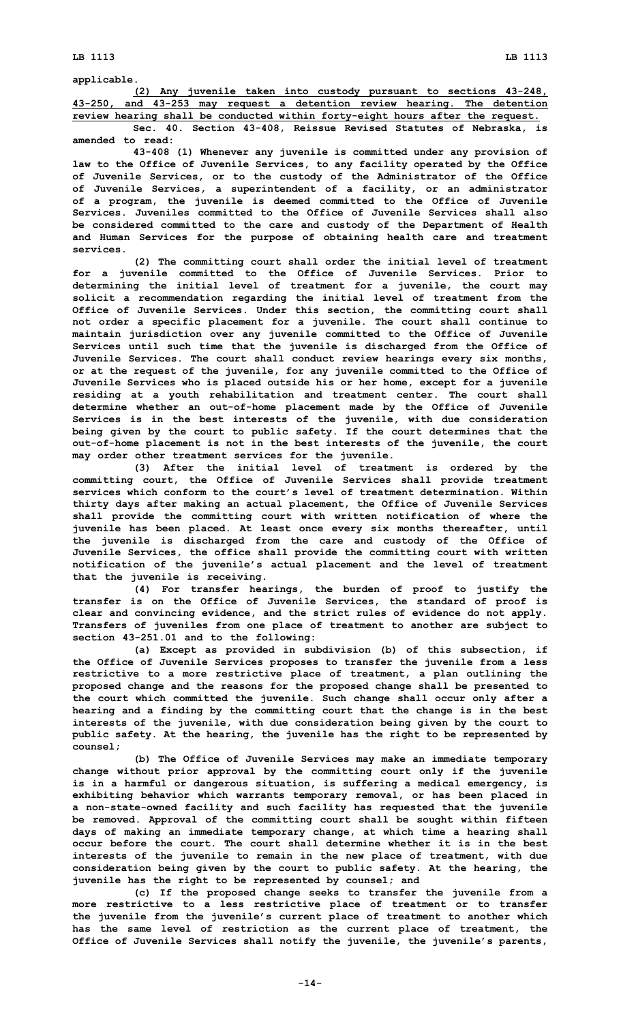**applicable.**

**(2) Any juvenile taken into custody pursuant to sections 43-248, 43-250, and 43-253 may request <sup>a</sup> detention review hearing. The detention review hearing shall be conducted within forty-eight hours after the request.**

**Sec. 40. Section 43-408, Reissue Revised Statutes of Nebraska, is amended to read:**

**43-408 (1) Whenever any juvenile is committed under any provision of law to the Office of Juvenile Services, to any facility operated by the Office of Juvenile Services, or to the custody of the Administrator of the Office of Juvenile Services, <sup>a</sup> superintendent of <sup>a</sup> facility, or an administrator of <sup>a</sup> program, the juvenile is deemed committed to the Office of Juvenile Services. Juveniles committed to the Office of Juvenile Services shall also be considered committed to the care and custody of the Department of Health and Human Services for the purpose of obtaining health care and treatment services.**

**(2) The committing court shall order the initial level of treatment for <sup>a</sup> juvenile committed to the Office of Juvenile Services. Prior to determining the initial level of treatment for <sup>a</sup> juvenile, the court may solicit <sup>a</sup> recommendation regarding the initial level of treatment from the Office of Juvenile Services. Under this section, the committing court shall not order <sup>a</sup> specific placement for <sup>a</sup> juvenile. The court shall continue to maintain jurisdiction over any juvenile committed to the Office of Juvenile Services until such time that the juvenile is discharged from the Office of Juvenile Services. The court shall conduct review hearings every six months, or at the request of the juvenile, for any juvenile committed to the Office of Juvenile Services who is placed outside his or her home, except for <sup>a</sup> juvenile residing at <sup>a</sup> youth rehabilitation and treatment center. The court shall determine whether an out-of-home placement made by the Office of Juvenile Services is in the best interests of the juvenile, with due consideration being given by the court to public safety. If the court determines that the out-of-home placement is not in the best interests of the juvenile, the court may order other treatment services for the juvenile.**

**(3) After the initial level of treatment is ordered by the committing court, the Office of Juvenile Services shall provide treatment services which conform to the court's level of treatment determination. Within thirty days after making an actual placement, the Office of Juvenile Services shall provide the committing court with written notification of where the juvenile has been placed. At least once every six months thereafter, until the juvenile is discharged from the care and custody of the Office of Juvenile Services, the office shall provide the committing court with written notification of the juvenile's actual placement and the level of treatment that the juvenile is receiving.**

**(4) For transfer hearings, the burden of proof to justify the transfer is on the Office of Juvenile Services, the standard of proof is clear and convincing evidence, and the strict rules of evidence do not apply. Transfers of juveniles from one place of treatment to another are subject to section 43-251.01 and to the following:**

**(a) Except as provided in subdivision (b) of this subsection, if the Office of Juvenile Services proposes to transfer the juvenile from <sup>a</sup> less restrictive to <sup>a</sup> more restrictive place of treatment, <sup>a</sup> plan outlining the proposed change and the reasons for the proposed change shall be presented to the court which committed the juvenile. Such change shall occur only after <sup>a</sup> hearing and <sup>a</sup> finding by the committing court that the change is in the best interests of the juvenile, with due consideration being given by the court to public safety. At the hearing, the juvenile has the right to be represented by counsel;**

**(b) The Office of Juvenile Services may make an immediate temporary change without prior approval by the committing court only if the juvenile is in <sup>a</sup> harmful or dangerous situation, is suffering <sup>a</sup> medical emergency, is exhibiting behavior which warrants temporary removal, or has been placed in <sup>a</sup> non-state-owned facility and such facility has requested that the juvenile be removed. Approval of the committing court shall be sought within fifteen days of making an immediate temporary change, at which time <sup>a</sup> hearing shall occur before the court. The court shall determine whether it is in the best interests of the juvenile to remain in the new place of treatment, with due consideration being given by the court to public safety. At the hearing, the juvenile has the right to be represented by counsel; and**

**(c) If the proposed change seeks to transfer the juvenile from <sup>a</sup> more restrictive to <sup>a</sup> less restrictive place of treatment or to transfer the juvenile from the juvenile's current place of treatment to another which has the same level of restriction as the current place of treatment, the Office of Juvenile Services shall notify the juvenile, the juvenile's parents,**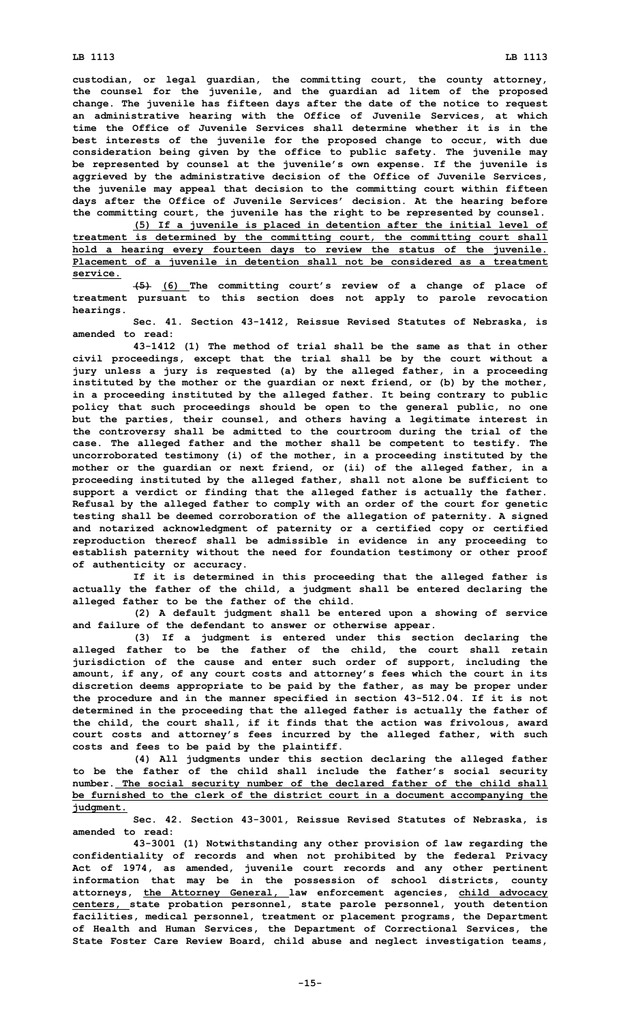## **LB 1113 LB 1113**

**custodian, or legal guardian, the committing court, the county attorney, the counsel for the juvenile, and the guardian ad litem of the proposed change. The juvenile has fifteen days after the date of the notice to request an administrative hearing with the Office of Juvenile Services, at which time the Office of Juvenile Services shall determine whether it is in the best interests of the juvenile for the proposed change to occur, with due consideration being given by the office to public safety. The juvenile may be represented by counsel at the juvenile's own expense. If the juvenile is aggrieved by the administrative decision of the Office of Juvenile Services, the juvenile may appeal that decision to the committing court within fifteen days after the Office of Juvenile Services' decision. At the hearing before the committing court, the juvenile has the right to be represented by counsel.**

**(5) If <sup>a</sup> juvenile is placed in detention after the initial level of treatment is determined by the committing court, the committing court shall hold <sup>a</sup> hearing every fourteen days to review the status of the juvenile. Placement of <sup>a</sup> juvenile in detention shall not be considered as <sup>a</sup> treatment service.**

**(5) (6) The committing court's review of <sup>a</sup> change of place of treatment pursuant to this section does not apply to parole revocation hearings.**

**Sec. 41. Section 43-1412, Reissue Revised Statutes of Nebraska, is amended to read:**

**43-1412 (1) The method of trial shall be the same as that in other civil proceedings, except that the trial shall be by the court without <sup>a</sup> jury unless <sup>a</sup> jury is requested (a) by the alleged father, in <sup>a</sup> proceeding instituted by the mother or the guardian or next friend, or (b) by the mother, in <sup>a</sup> proceeding instituted by the alleged father. It being contrary to public policy that such proceedings should be open to the general public, no one but the parties, their counsel, and others having <sup>a</sup> legitimate interest in the controversy shall be admitted to the courtroom during the trial of the case. The alleged father and the mother shall be competent to testify. The uncorroborated testimony (i) of the mother, in <sup>a</sup> proceeding instituted by the mother or the guardian or next friend, or (ii) of the alleged father, in <sup>a</sup> proceeding instituted by the alleged father, shall not alone be sufficient to support <sup>a</sup> verdict or finding that the alleged father is actually the father. Refusal by the alleged father to comply with an order of the court for genetic testing shall be deemed corroboration of the allegation of paternity. A signed and notarized acknowledgment of paternity or <sup>a</sup> certified copy or certified reproduction thereof shall be admissible in evidence in any proceeding to establish paternity without the need for foundation testimony or other proof of authenticity or accuracy.**

**If it is determined in this proceeding that the alleged father is actually the father of the child, <sup>a</sup> judgment shall be entered declaring the alleged father to be the father of the child.**

**(2) <sup>A</sup> default judgment shall be entered upon <sup>a</sup> showing of service and failure of the defendant to answer or otherwise appear.**

**(3) If <sup>a</sup> judgment is entered under this section declaring the alleged father to be the father of the child, the court shall retain jurisdiction of the cause and enter such order of support, including the amount, if any, of any court costs and attorney's fees which the court in its discretion deems appropriate to be paid by the father, as may be proper under the procedure and in the manner specified in section 43-512.04. If it is not determined in the proceeding that the alleged father is actually the father of the child, the court shall, if it finds that the action was frivolous, award court costs and attorney's fees incurred by the alleged father, with such costs and fees to be paid by the plaintiff.**

**(4) All judgments under this section declaring the alleged father to be the father of the child shall include the father's social security number. The social security number of the declared father of the child shall be furnished to the clerk of the district court in <sup>a</sup> document accompanying the judgment.**

**Sec. 42. Section 43-3001, Reissue Revised Statutes of Nebraska, is amended to read:**

**43-3001 (1) Notwithstanding any other provision of law regarding the confidentiality of records and when not prohibited by the federal Privacy Act of 1974, as amended, juvenile court records and any other pertinent information that may be in the possession of school districts, county attorneys, the Attorney General, law enforcement agencies, child advocacy centers, state probation personnel, state parole personnel, youth detention facilities, medical personnel, treatment or placement programs, the Department of Health and Human Services, the Department of Correctional Services, the State Foster Care Review Board, child abuse and neglect investigation teams,**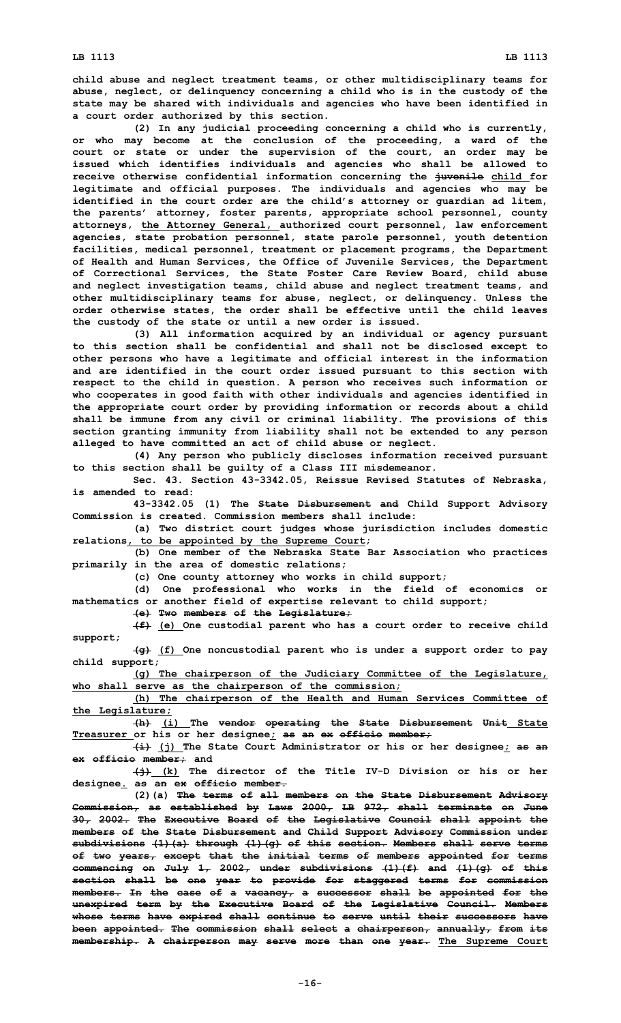**child abuse and neglect treatment teams, or other multidisciplinary teams for abuse, neglect, or delinquency concerning <sup>a</sup> child who is in the custody of the state may be shared with individuals and agencies who have been identified in <sup>a</sup> court order authorized by this section.**

**(2) In any judicial proceeding concerning <sup>a</sup> child who is currently, or who may become at the conclusion of the proceeding, <sup>a</sup> ward of the court or state or under the supervision of the court, an order may be issued which identifies individuals and agencies who shall be allowed to receive otherwise confidential information concerning the juvenile child for legitimate and official purposes. The individuals and agencies who may be identified in the court order are the child's attorney or guardian ad litem, the parents' attorney, foster parents, appropriate school personnel, county attorneys, the Attorney General, authorized court personnel, law enforcement agencies, state probation personnel, state parole personnel, youth detention facilities, medical personnel, treatment or placement programs, the Department of Health and Human Services, the Office of Juvenile Services, the Department of Correctional Services, the State Foster Care Review Board, child abuse and neglect investigation teams, child abuse and neglect treatment teams, and other multidisciplinary teams for abuse, neglect, or delinquency. Unless the order otherwise states, the order shall be effective until the child leaves the custody of the state or until <sup>a</sup> new order is issued.**

**(3) All information acquired by an individual or agency pursuant to this section shall be confidential and shall not be disclosed except to other persons who have <sup>a</sup> legitimate and official interest in the information and are identified in the court order issued pursuant to this section with respect to the child in question. A person who receives such information or who cooperates in good faith with other individuals and agencies identified in the appropriate court order by providing information or records about <sup>a</sup> child shall be immune from any civil or criminal liability. The provisions of this section granting immunity from liability shall not be extended to any person alleged to have committed an act of child abuse or neglect.**

**(4) Any person who publicly discloses information received pursuant to this section shall be guilty of <sup>a</sup> Class III misdemeanor.**

**Sec. 43. Section 43-3342.05, Reissue Revised Statutes of Nebraska, is amended to read:**

**43-3342.05 (1) The State Disbursement and Child Support Advisory Commission is created. Commission members shall include:**

**(a) Two district court judges whose jurisdiction includes domestic relations, to be appointed by the Supreme Court;**

**(b) One member of the Nebraska State Bar Association who practices primarily in the area of domestic relations;**

**(c) One county attorney who works in child support;**

**(d) One professional who works in the field of economics or mathematics or another field of expertise relevant to child support;**

**(e) Two members of the Legislature;**

**(f) (e) One custodial parent who has <sup>a</sup> court order to receive child support;**

**(g) (f) One noncustodial parent who is under <sup>a</sup> support order to pay child support;**

**(g) The chairperson of the Judiciary Committee of the Legislature, who shall serve as the chairperson of the commission;**

**(h) The chairperson of the Health and Human Services Committee of the Legislature;**

**(h) (i) The vendor operating the State Disbursement Unit State Treasurer or his or her designee; as an ex officio member;**

**(i) (j) The State Court Administrator or his or her designee; as an ex officio member; and**

**(j) (k) The director of the Title IV-D Division or his or her designee. as an ex officio member.**

**(2)(a) The terms of all members on the State Disbursement Advisory Commission, as established by Laws 2000, LB 972, shall terminate on June 30, 2002. The Executive Board of the Legislative Council shall appoint the members of the State Disbursement and Child Support Advisory Commission under subdivisions (1)(a) through (1)(g) of this section. Members shall serve terms of two years, except that the initial terms of members appointed for terms commencing on July 1, 2002, under subdivisions (1)(f) and (1)(g) of this section shall be one year to provide for staggered terms for commission members. In the case of <sup>a</sup> vacancy, <sup>a</sup> successor shall be appointed for the unexpired term by the Executive Board of the Legislative Council. Members whose terms have expired shall continue to serve until their successors have been appointed. The commission shall select <sup>a</sup> chairperson, annually, from its membership. A chairperson may serve more than one year. The Supreme Court**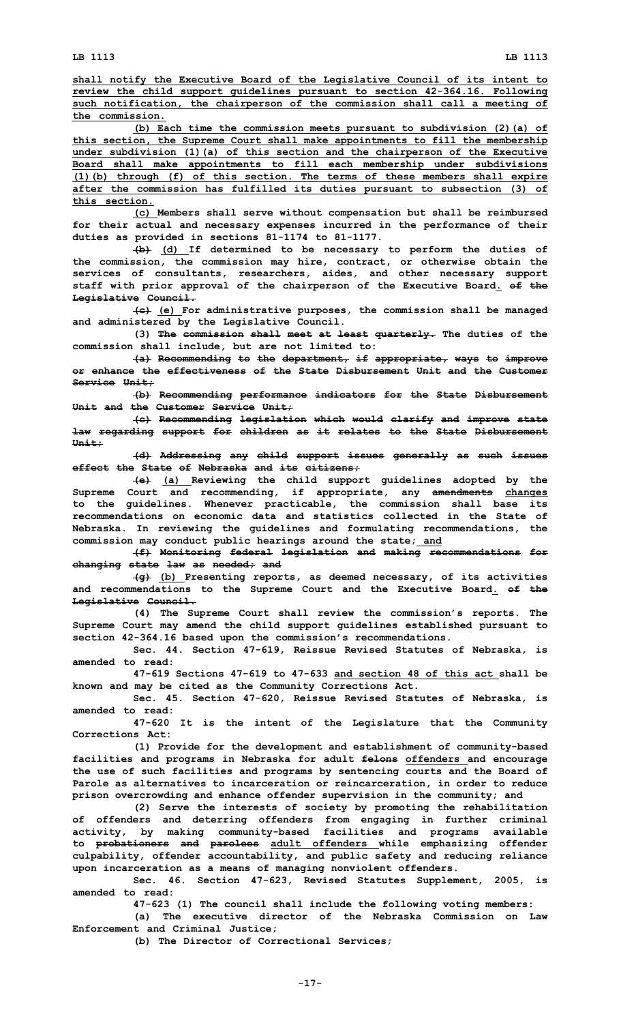**shall notify the Executive Board of the Legislative Council of its intent to review the child support guidelines pursuant to section 42-364.16. Following such notification, the chairperson of the commission shall call <sup>a</sup> meeting of the commission.**

**(b) Each time the commission meets pursuant to subdivision (2)(a) of this section, the Supreme Court shall make appointments to fill the membership under subdivision (1)(a) of this section and the chairperson of the Executive Board shall make appointments to fill each membership under subdivisions (1)(b) through (f) of this section. The terms of these members shall expire after the commission has fulfilled its duties pursuant to subsection (3) of this section.**

**(c) Members shall serve without compensation but shall be reimbursed for their actual and necessary expenses incurred in the performance of their duties as provided in sections 81-1174 to 81-1177.**

**(b) (d) If determined to be necessary to perform the duties of the commission, the commission may hire, contract, or otherwise obtain the services of consultants, researchers, aides, and other necessary support staff with prior approval of the chairperson of the Executive Board. of the Legislative Council.**

**(c) (e) For administrative purposes, the commission shall be managed and administered by the Legislative Council.**

**(3) The commission shall meet at least quarterly. The duties of the commission shall include, but are not limited to:**

**(a) Recommending to the department, if appropriate, ways to improve or enhance the effectiveness of the State Disbursement Unit and the Customer Service Unit;**

**(b) Recommending performance indicators for the State Disbursement Unit and the Customer Service Unit;**

**(c) Recommending legislation which would clarify and improve state law regarding support for children as it relates to the State Disbursement Unit;**

**(d) Addressing any child support issues generally as such issues effect the State of Nebraska and its citizens;**

**(e) (a) Reviewing the child support guidelines adopted by the Supreme Court and recommending, if appropriate, any amendments changes to the guidelines. Whenever practicable, the commission shall base its recommendations on economic data and statistics collected in the State of Nebraska. In reviewing the guidelines and formulating recommendations, the commission may conduct public hearings around the state; and**

**(f) Monitoring federal legislation and making recommendations for changing state law as needed; and**

**(g) (b) Presenting reports, as deemed necessary, of its activities and recommendations to the Supreme Court and the Executive Board. of the Legislative Council.**

**(4) The Supreme Court shall review the commission's reports. The Supreme Court may amend the child support guidelines established pursuant to section 42-364.16 based upon the commission's recommendations.**

**Sec. 44. Section 47-619, Reissue Revised Statutes of Nebraska, is amended to read:**

**47-619 Sections 47-619 to 47-633 and section 48 of this act shall be known and may be cited as the Community Corrections Act.**

**Sec. 45. Section 47-620, Reissue Revised Statutes of Nebraska, is amended to read:**

**47-620 It is the intent of the Legislature that the Community Corrections Act:**

**(1) Provide for the development and establishment of community-based facilities and programs in Nebraska for adult felons offenders and encourage the use of such facilities and programs by sentencing courts and the Board of Parole as alternatives to incarceration or reincarceration, in order to reduce prison overcrowding and enhance offender supervision in the community; and**

**(2) Serve the interests of society by promoting the rehabilitation of offenders and deterring offenders from engaging in further criminal activity, by making community-based facilities and programs available to probationers and parolees adult offenders while emphasizing offender culpability, offender accountability, and public safety and reducing reliance upon incarceration as <sup>a</sup> means of managing nonviolent offenders.**

**Sec. 46. Section 47-623, Revised Statutes Supplement, 2005, is amended to read:**

**47-623 (1) The council shall include the following voting members:**

**(a) The executive director of the Nebraska Commission on Law Enforcement and Criminal Justice;**

**(b) The Director of Correctional Services;**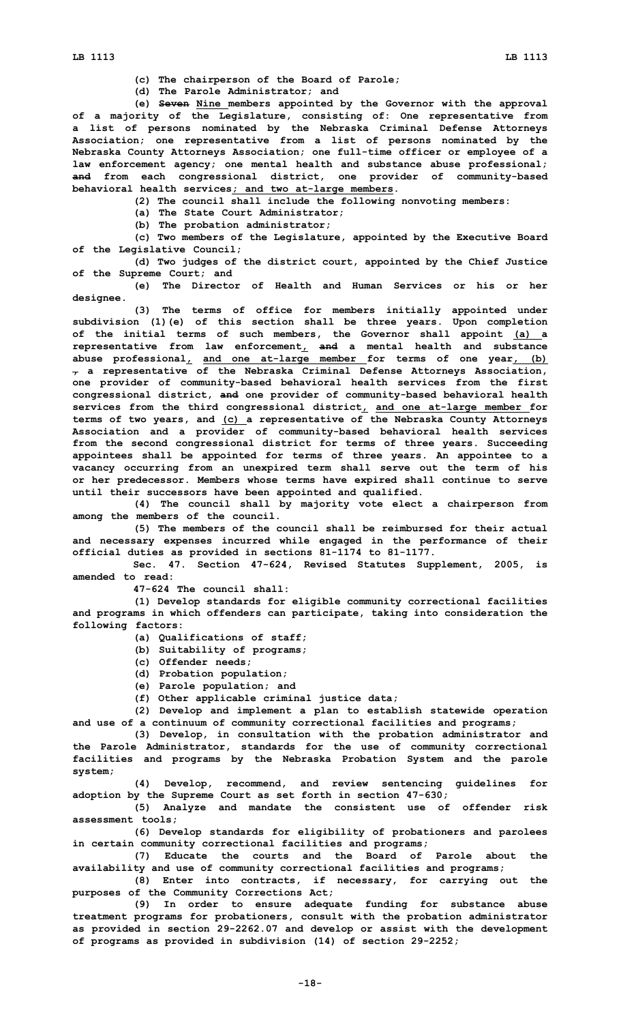**(c) The chairperson of the Board of Parole;**

**(d) The Parole Administrator; and**

**(e) Seven Nine members appointed by the Governor with the approval of <sup>a</sup> majority of the Legislature, consisting of: One representative from <sup>a</sup> list of persons nominated by the Nebraska Criminal Defense Attorneys Association; one representative from <sup>a</sup> list of persons nominated by the Nebraska County Attorneys Association; one full-time officer or employee of <sup>a</sup> law enforcement agency; one mental health and substance abuse professional; and from each congressional district, one provider of community-based behavioral health services; and two at-large members.**

**(2) The council shall include the following nonvoting members:**

**(a) The State Court Administrator;**

**(b) The probation administrator;**

**(c) Two members of the Legislature, appointed by the Executive Board of the Legislative Council;**

**(d) Two judges of the district court, appointed by the Chief Justice of the Supreme Court; and**

**(e) The Director of Health and Human Services or his or her designee.**

**(3) The terms of office for members initially appointed under subdivision (1)(e) of this section shall be three years. Upon completion of the initial terms of such members, the Governor shall appoint (a) <sup>a</sup> representative from law enforcement, and <sup>a</sup> mental health and substance abuse professional, and one at-large member for terms of one year, (b) , <sup>a</sup> representative of the Nebraska Criminal Defense Attorneys Association, one provider of community-based behavioral health services from the first congressional district, and one provider of community-based behavioral health services from the third congressional district, and one at-large member for terms of two years, and (c) <sup>a</sup> representative of the Nebraska County Attorneys Association and <sup>a</sup> provider of community-based behavioral health services from the second congressional district for terms of three years. Succeeding appointees shall be appointed for terms of three years. An appointee to <sup>a</sup> vacancy occurring from an unexpired term shall serve out the term of his or her predecessor. Members whose terms have expired shall continue to serve until their successors have been appointed and qualified.**

**(4) The council shall by majority vote elect <sup>a</sup> chairperson from among the members of the council.**

**(5) The members of the council shall be reimbursed for their actual and necessary expenses incurred while engaged in the performance of their official duties as provided in sections 81-1174 to 81-1177.**

**Sec. 47. Section 47-624, Revised Statutes Supplement, 2005, is amended to read:**

**47-624 The council shall:**

**(1) Develop standards for eligible community correctional facilities and programs in which offenders can participate, taking into consideration the following factors:**

- **(a) Qualifications of staff;**
- **(b) Suitability of programs;**
- **(c) Offender needs;**
- **(d) Probation population;**
- **(e) Parole population; and**

**(f) Other applicable criminal justice data;**

**(2) Develop and implement <sup>a</sup> plan to establish statewide operation and use of <sup>a</sup> continuum of community correctional facilities and programs;**

**(3) Develop, in consultation with the probation administrator and the Parole Administrator, standards for the use of community correctional facilities and programs by the Nebraska Probation System and the parole system;**

**(4) Develop, recommend, and review sentencing guidelines for adoption by the Supreme Court as set forth in section 47-630;**

**(5) Analyze and mandate the consistent use of offender risk assessment tools;**

**(6) Develop standards for eligibility of probationers and parolees in certain community correctional facilities and programs;**

**(7) Educate the courts and the Board of Parole about the availability and use of community correctional facilities and programs;**

**(8) Enter into contracts, if necessary, for carrying out the purposes of the Community Corrections Act;**

**(9) In order to ensure adequate funding for substance abuse treatment programs for probationers, consult with the probation administrator as provided in section 29-2262.07 and develop or assist with the development of programs as provided in subdivision (14) of section 29-2252;**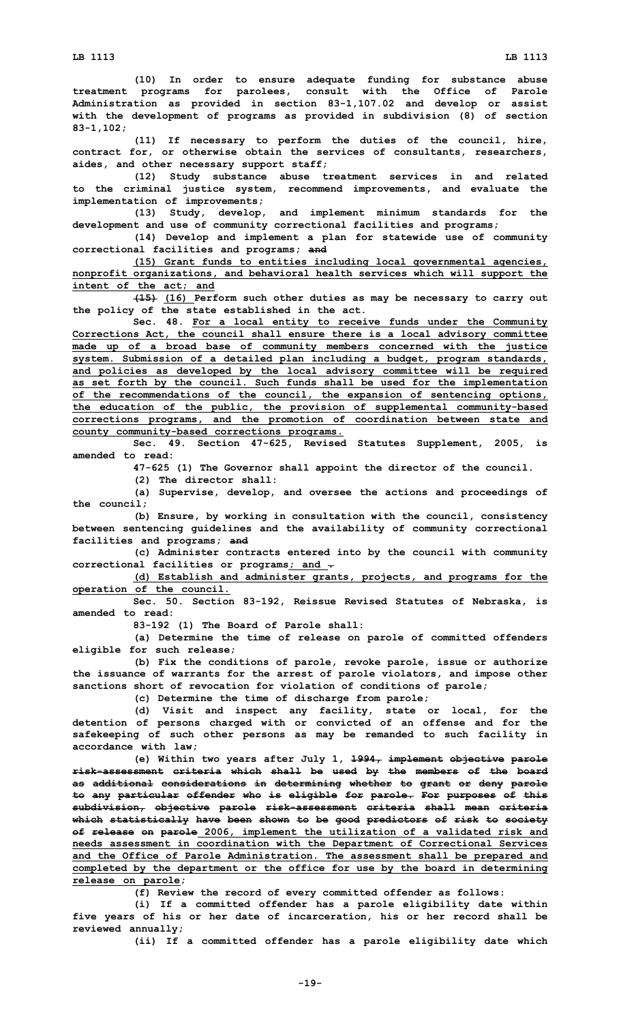**(10) In order to ensure adequate funding for substance abuse treatment programs for parolees, consult with the Office of Parole Administration as provided in section 83-1,107.02 and develop or assist with the development of programs as provided in subdivision (8) of section 83-1,102;**

**(11) If necessary to perform the duties of the council, hire, contract for, or otherwise obtain the services of consultants, researchers, aides, and other necessary support staff;**

**(12) Study substance abuse treatment services in and related to the criminal justice system, recommend improvements, and evaluate the implementation of improvements;**

**(13) Study, develop, and implement minimum standards for the development and use of community correctional facilities and programs;**

**(14) Develop and implement <sup>a</sup> plan for statewide use of community correctional facilities and programs; and**

**(15) Grant funds to entities including local governmental agencies, nonprofit organizations, and behavioral health services which will support the intent of the act; and**

**(15) (16) Perform such other duties as may be necessary to carry out the policy of the state established in the act.**

**Sec. 48. For <sup>a</sup> local entity to receive funds under the Community Corrections Act, the council shall ensure there is <sup>a</sup> local advisory committee made up of <sup>a</sup> broad base of community members concerned with the justice system. Submission of <sup>a</sup> detailed plan including <sup>a</sup> budget, program standards, and policies as developed by the local advisory committee will be required as set forth by the council. Such funds shall be used for the implementation of the recommendations of the council, the expansion of sentencing options, the education of the public, the provision of supplemental community-based corrections programs, and the promotion of coordination between state and county community-based corrections programs.**

**Sec. 49. Section 47-625, Revised Statutes Supplement, 2005, is amended to read:**

**47-625 (1) The Governor shall appoint the director of the council.**

**(2) The director shall:**

**(a) Supervise, develop, and oversee the actions and proceedings of the council;**

**(b) Ensure, by working in consultation with the council, consistency between sentencing guidelines and the availability of community correctional facilities and programs; and**

**(c) Administer contracts entered into by the council with community correctional facilities or programs; and .**

**(d) Establish and administer grants, projects, and programs for the operation of the council.**

**Sec. 50. Section 83-192, Reissue Revised Statutes of Nebraska, is amended to read:**

**83-192 (1) The Board of Parole shall:**

**(a) Determine the time of release on parole of committed offenders eligible for such release;**

**(b) Fix the conditions of parole, revoke parole, issue or authorize the issuance of warrants for the arrest of parole violators, and impose other sanctions short of revocation for violation of conditions of parole;**

**(c) Determine the time of discharge from parole;**

**(d) Visit and inspect any facility, state or local, for the detention of persons charged with or convicted of an offense and for the safekeeping of such other persons as may be remanded to such facility in accordance with law;**

**(e) Within two years after July 1, 1994, implement objective parole risk-assessment criteria which shall be used by the members of the board as additional considerations in determining whether to grant or deny parole to any particular offender who is eligible for parole. For purposes of this subdivision, objective parole risk-assessment criteria shall mean criteria which statistically have been shown to be good predictors of risk to society of release on parole 2006, implement the utilization of <sup>a</sup> validated risk and needs assessment in coordination with the Department of Correctional Services and the Office of Parole Administration. The assessment shall be prepared and completed by the department or the office for use by the board in determining release on parole;**

**(f) Review the record of every committed offender as follows:**

**(i) If <sup>a</sup> committed offender has <sup>a</sup> parole eligibility date within five years of his or her date of incarceration, his or her record shall be reviewed annually;**

**(ii) If <sup>a</sup> committed offender has <sup>a</sup> parole eligibility date which**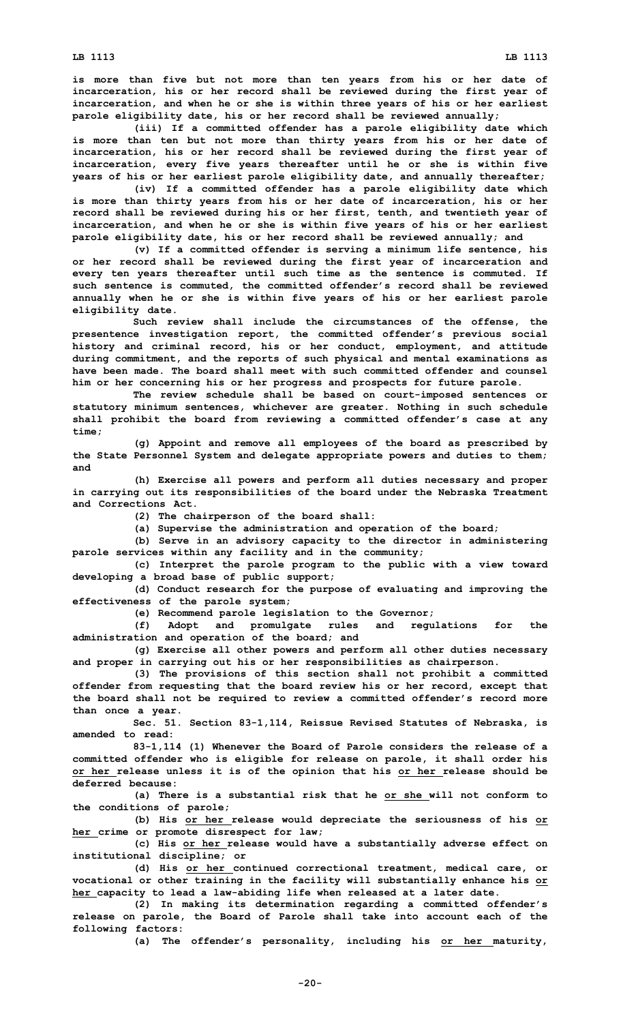**is more than five but not more than ten years from his or her date of incarceration, his or her record shall be reviewed during the first year of incarceration, and when he or she is within three years of his or her earliest parole eligibility date, his or her record shall be reviewed annually;**

**(iii) If <sup>a</sup> committed offender has <sup>a</sup> parole eligibility date which is more than ten but not more than thirty years from his or her date of incarceration, his or her record shall be reviewed during the first year of incarceration, every five years thereafter until he or she is within five years of his or her earliest parole eligibility date, and annually thereafter;**

**(iv) If <sup>a</sup> committed offender has <sup>a</sup> parole eligibility date which is more than thirty years from his or her date of incarceration, his or her record shall be reviewed during his or her first, tenth, and twentieth year of incarceration, and when he or she is within five years of his or her earliest parole eligibility date, his or her record shall be reviewed annually; and**

**(v) If <sup>a</sup> committed offender is serving <sup>a</sup> minimum life sentence, his or her record shall be reviewed during the first year of incarceration and every ten years thereafter until such time as the sentence is commuted. If such sentence is commuted, the committed offender's record shall be reviewed annually when he or she is within five years of his or her earliest parole eligibility date.**

**Such review shall include the circumstances of the offense, the presentence investigation report, the committed offender's previous social history and criminal record, his or her conduct, employment, and attitude during commitment, and the reports of such physical and mental examinations as have been made. The board shall meet with such committed offender and counsel him or her concerning his or her progress and prospects for future parole.**

**The review schedule shall be based on court-imposed sentences or statutory minimum sentences, whichever are greater. Nothing in such schedule shall prohibit the board from reviewing <sup>a</sup> committed offender's case at any time;**

**(g) Appoint and remove all employees of the board as prescribed by the State Personnel System and delegate appropriate powers and duties to them; and**

**(h) Exercise all powers and perform all duties necessary and proper in carrying out its responsibilities of the board under the Nebraska Treatment and Corrections Act.**

**(2) The chairperson of the board shall:**

**(a) Supervise the administration and operation of the board;**

**(b) Serve in an advisory capacity to the director in administering parole services within any facility and in the community;**

**(c) Interpret the parole program to the public with <sup>a</sup> view toward developing <sup>a</sup> broad base of public support;**

**(d) Conduct research for the purpose of evaluating and improving the effectiveness of the parole system;**

**(e) Recommend parole legislation to the Governor;**

**(f) Adopt and promulgate rules and regulations for the administration and operation of the board; and**

**(g) Exercise all other powers and perform all other duties necessary and proper in carrying out his or her responsibilities as chairperson.**

**(3) The provisions of this section shall not prohibit <sup>a</sup> committed offender from requesting that the board review his or her record, except that the board shall not be required to review <sup>a</sup> committed offender's record more than once <sup>a</sup> year.**

**Sec. 51. Section 83-1,114, Reissue Revised Statutes of Nebraska, is amended to read:**

**83-1,114 (1) Whenever the Board of Parole considers the release of <sup>a</sup> committed offender who is eligible for release on parole, it shall order his or her release unless it is of the opinion that his or her release should be deferred because:**

**(a) There is <sup>a</sup> substantial risk that he or she will not conform to the conditions of parole;**

**(b) His or her release would depreciate the seriousness of his or her crime or promote disrespect for law;**

**(c) His or her release would have <sup>a</sup> substantially adverse effect on institutional discipline; or**

**(d) His or her continued correctional treatment, medical care, or vocational or other training in the facility will substantially enhance his or her capacity to lead <sup>a</sup> law-abiding life when released at <sup>a</sup> later date.**

**(2) In making its determination regarding <sup>a</sup> committed offender's release on parole, the Board of Parole shall take into account each of the following factors:**

**(a) The offender's personality, including his or her maturity,**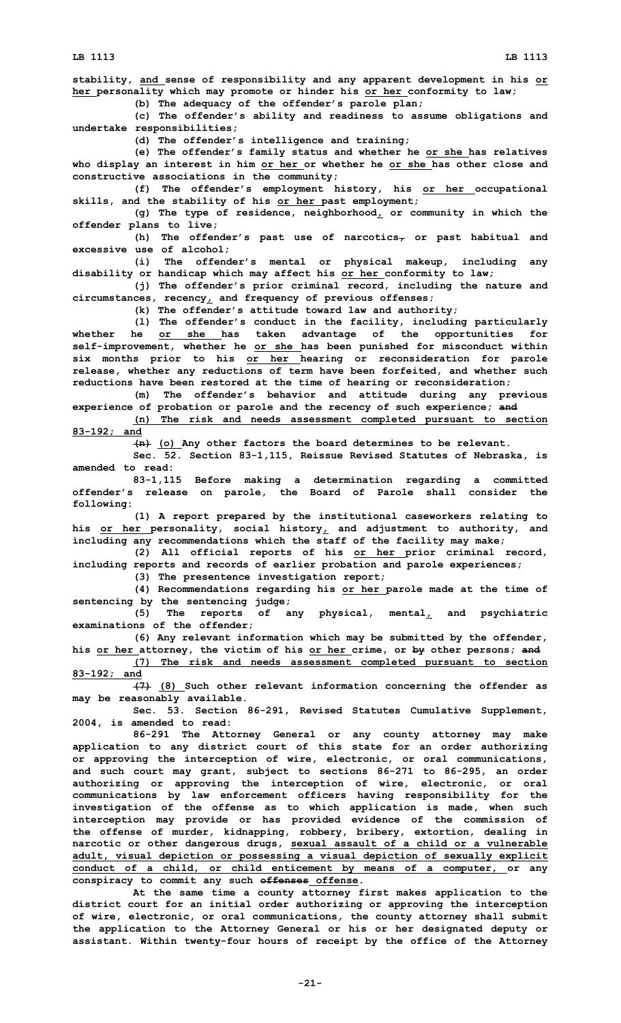**LB 1113 LB 1113**

**stability, and sense of responsibility and any apparent development in his or her personality which may promote or hinder his or her conformity to law; (b) The adequacy of the offender's parole plan;**

**(c) The offender's ability and readiness to assume obligations and undertake responsibilities;**

**(d) The offender's intelligence and training;**

**(e) The offender's family status and whether he or she has relatives who display an interest in him or her or whether he or she has other close and constructive associations in the community;**

**(f) The offender's employment history, his or her occupational skills, and the stability of his or her past employment;**

**(g) The type of residence, neighborhood, or community in which the offender plans to live;**

**(h) The offender's past use of narcotics, or past habitual and excessive use of alcohol;**

**(i) The offender's mental or physical makeup, including any disability or handicap which may affect his or her conformity to law;**

**(j) The offender's prior criminal record, including the nature and circumstances, recency, and frequency of previous offenses;**

**(k) The offender's attitude toward law and authority;**

**(l) The offender's conduct in the facility, including particularly whether he or she has taken advantage of the opportunities for self-improvement, whether he or she has been punished for misconduct within six months prior to his or her hearing or reconsideration for parole release, whether any reductions of term have been forfeited, and whether such reductions have been restored at the time of hearing or reconsideration;**

**(m) The offender's behavior and attitude during any previous experience of probation or parole and the recency of such experience; and**

**(n) The risk and needs assessment completed pursuant to section 83-192; and**

**(n) (o) Any other factors the board determines to be relevant.**

**Sec. 52. Section 83-1,115, Reissue Revised Statutes of Nebraska, is amended to read:**

**83-1,115 Before making <sup>a</sup> determination regarding <sup>a</sup> committed offender's release on parole, the Board of Parole shall consider the following:**

**(1) <sup>A</sup> report prepared by the institutional caseworkers relating to his or her personality, social history, and adjustment to authority, and including any recommendations which the staff of the facility may make;**

**(2) All official reports of his or her prior criminal record, including reports and records of earlier probation and parole experiences;**

**(3) The presentence investigation report;**

**(4) Recommendations regarding his or her parole made at the time of sentencing by the sentencing judge;**

**(5) The reports of any physical, mental, and psychiatric examinations of the offender;**

**(6) Any relevant information which may be submitted by the offender, his or her attorney, the victim of his or her crime, or by other persons; and**

**(7) The risk and needs assessment completed pursuant to section 83-192; and**

**(7) (8) Such other relevant information concerning the offender as may be reasonably available.**

**Sec. 53. Section 86-291, Revised Statutes Cumulative Supplement, 2004, is amended to read:**

**86-291 The Attorney General or any county attorney may make application to any district court of this state for an order authorizing or approving the interception of wire, electronic, or oral communications, and such court may grant, subject to sections 86-271 to 86-295, an order authorizing or approving the interception of wire, electronic, or oral communications by law enforcement officers having responsibility for the investigation of the offense as to which application is made, when such interception may provide or has provided evidence of the commission of the offense of murder, kidnapping, robbery, bribery, extortion, dealing in narcotic or other dangerous drugs, sexual assault of <sup>a</sup> child or <sup>a</sup> vulnerable adult, visual depiction or possessing <sup>a</sup> visual depiction of sexually explicit conduct of <sup>a</sup> child, or child enticement by means of <sup>a</sup> computer, or any conspiracy to commit any such offenses offense.**

**At the same time <sup>a</sup> county attorney first makes application to the district court for an initial order authorizing or approving the interception of wire, electronic, or oral communications, the county attorney shall submit the application to the Attorney General or his or her designated deputy or assistant. Within twenty-four hours of receipt by the office of the Attorney**